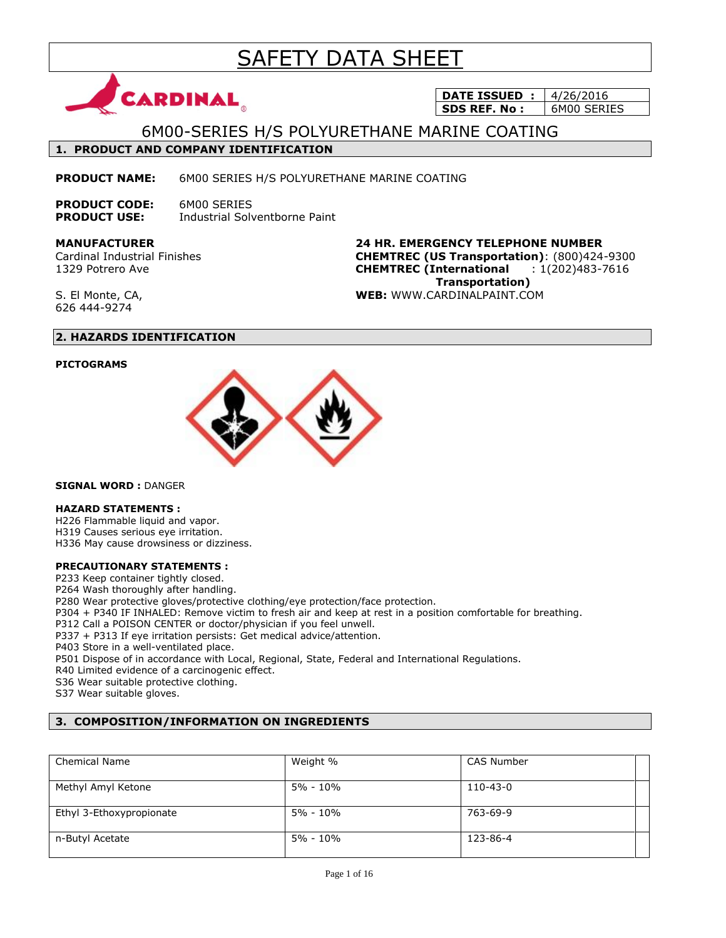# SAFETY DATA SHEET



**DATE ISSUED : 4/26/2016 SDS REF. No :** 6M00 SERIES

## 6M00-SERIES H/S POLYURETHANE MARINE COATING

### **1. PRODUCT AND COMPANY IDENTIFICATION**

**PRODUCT NAME:** 6M00 SERIES H/S POLYURETHANE MARINE COATING

**PRODUCT CODE:** 6M00 SERIES **PRODUCT USE:** Industrial Solventborne Paint

**MANUFACTURER** Cardinal Industrial Finishes 1329 Potrero Ave

**24 HR. EMERGENCY TELEPHONE NUMBER CHEMTREC (US Transportation)**: (800)424-9300 **CHEMTREC (International** : 1(202)483-7616  **Transportation) WEB:** WWW.CARDINALPAINT.COM

S. El Monte, CA, 626 444-9274

### **2. HAZARDS IDENTIFICATION**

### **PICTOGRAMS**



**SIGNAL WORD :** DANGER

### **HAZARD STATEMENTS :**

H226 Flammable liquid and vapor. H319 Causes serious eye irritation. H336 May cause drowsiness or dizziness.

### **PRECAUTIONARY STATEMENTS :**

P233 Keep container tightly closed.

P264 Wash thoroughly after handling.

P280 Wear protective gloves/protective clothing/eye protection/face protection.

P304 + P340 IF INHALED: Remove victim to fresh air and keep at rest in a position comfortable for breathing.

P312 Call a POISON CENTER or doctor/physician if you feel unwell.

P337 + P313 If eye irritation persists: Get medical advice/attention.

P403 Store in a well-ventilated place.

P501 Dispose of in accordance with Local, Regional, State, Federal and International Regulations.

R40 Limited evidence of a carcinogenic effect.

S36 Wear suitable protective clothing.

S37 Wear suitable gloves.

### **3. COMPOSITION/INFORMATION ON INGREDIENTS**

| <b>Chemical Name</b>     | Weight %     | <b>CAS Number</b> |  |
|--------------------------|--------------|-------------------|--|
|                          |              |                   |  |
|                          |              |                   |  |
|                          |              |                   |  |
| Methyl Amyl Ketone       | 5% - 10%     | 110-43-0          |  |
|                          |              |                   |  |
|                          |              |                   |  |
| Ethyl 3-Ethoxypropionate | $5\% - 10\%$ | 763-69-9          |  |
|                          |              |                   |  |
|                          |              |                   |  |
|                          |              |                   |  |
| n-Butyl Acetate          | $5\% - 10\%$ | 123-86-4          |  |
|                          |              |                   |  |
|                          |              |                   |  |
|                          |              |                   |  |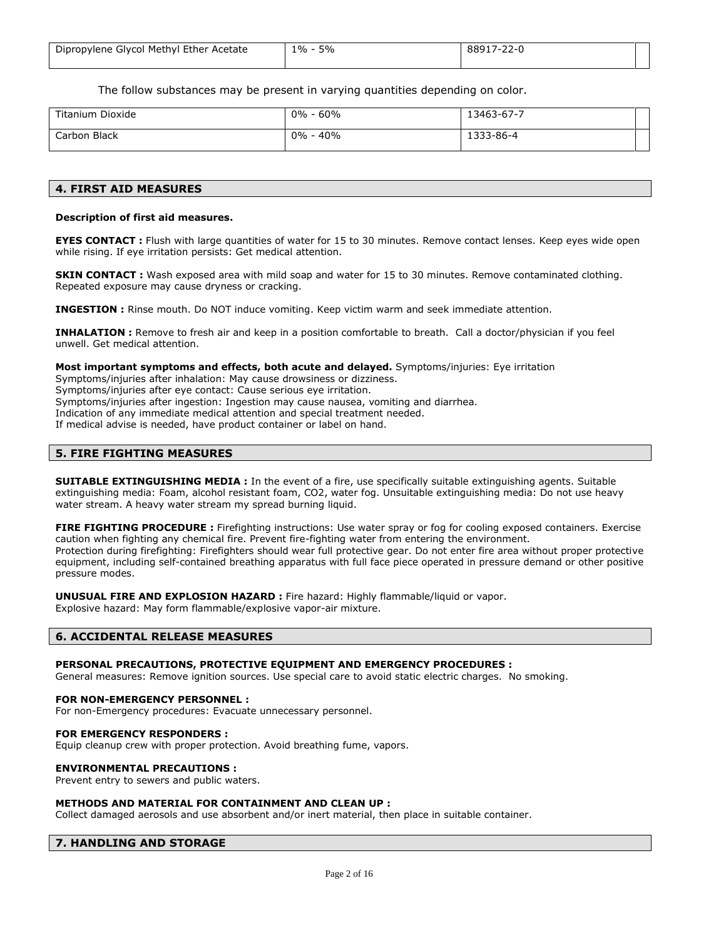| Dipropylene Glycol Methyl Ether Acetate | 5%<br>$1\% -$ | 88917-22-0 |  |
|-----------------------------------------|---------------|------------|--|
|                                         |               |            |  |

The follow substances may be present in varying quantities depending on color.

| Titanium Dioxide | $0\% - 60\%$   | 13463-67-7 |  |
|------------------|----------------|------------|--|
| Carbon Black     | - 40%<br>$0\%$ | 1333-86-4  |  |

### **4. FIRST AID MEASURES**

#### **Description of first aid measures.**

**EYES CONTACT** : Flush with large quantities of water for 15 to 30 minutes. Remove contact lenses. Keep eyes wide open while rising. If eye irritation persists: Get medical attention.

**SKIN CONTACT :** Wash exposed area with mild soap and water for 15 to 30 minutes. Remove contaminated clothing. Repeated exposure may cause dryness or cracking.

**INGESTION :** Rinse mouth. Do NOT induce vomiting. Keep victim warm and seek immediate attention.

**INHALATION :** Remove to fresh air and keep in a position comfortable to breath. Call a doctor/physician if you feel unwell. Get medical attention.

**Most important symptoms and effects, both acute and delayed.** Symptoms/injuries: Eye irritation Symptoms/injuries after inhalation: May cause drowsiness or dizziness. Symptoms/injuries after eye contact: Cause serious eye irritation. Symptoms/injuries after ingestion: Ingestion may cause nausea, vomiting and diarrhea. Indication of any immediate medical attention and special treatment needed. If medical advise is needed, have product container or label on hand.

### **5. FIRE FIGHTING MEASURES**

**SUITABLE EXTINGUISHING MEDIA :** In the event of a fire, use specifically suitable extinguishing agents. Suitable extinguishing media: Foam, alcohol resistant foam, CO2, water fog. Unsuitable extinguishing media: Do not use heavy water stream. A heavy water stream my spread burning liquid.

**FIRE FIGHTING PROCEDURE :** Firefighting instructions: Use water spray or fog for cooling exposed containers. Exercise caution when fighting any chemical fire. Prevent fire-fighting water from entering the environment. Protection during firefighting: Firefighters should wear full protective gear. Do not enter fire area without proper protective equipment, including self-contained breathing apparatus with full face piece operated in pressure demand or other positive pressure modes.

**UNUSUAL FIRE AND EXPLOSION HAZARD :** Fire hazard: Highly flammable/liquid or vapor. Explosive hazard: May form flammable/explosive vapor-air mixture.

#### **6. ACCIDENTAL RELEASE MEASURES**

### **PERSONAL PRECAUTIONS, PROTECTIVE EQUIPMENT AND EMERGENCY PROCEDURES :**

General measures: Remove ignition sources. Use special care to avoid static electric charges. No smoking.

#### **FOR NON-EMERGENCY PERSONNEL :**

For non-Emergency procedures: Evacuate unnecessary personnel.

#### **FOR EMERGENCY RESPONDERS :**

Equip cleanup crew with proper protection. Avoid breathing fume, vapors.

#### **ENVIRONMENTAL PRECAUTIONS :**

Prevent entry to sewers and public waters.

#### **METHODS AND MATERIAL FOR CONTAINMENT AND CLEAN UP :**

Collect damaged aerosols and use absorbent and/or inert material, then place in suitable container.

### **7. HANDLING AND STORAGE**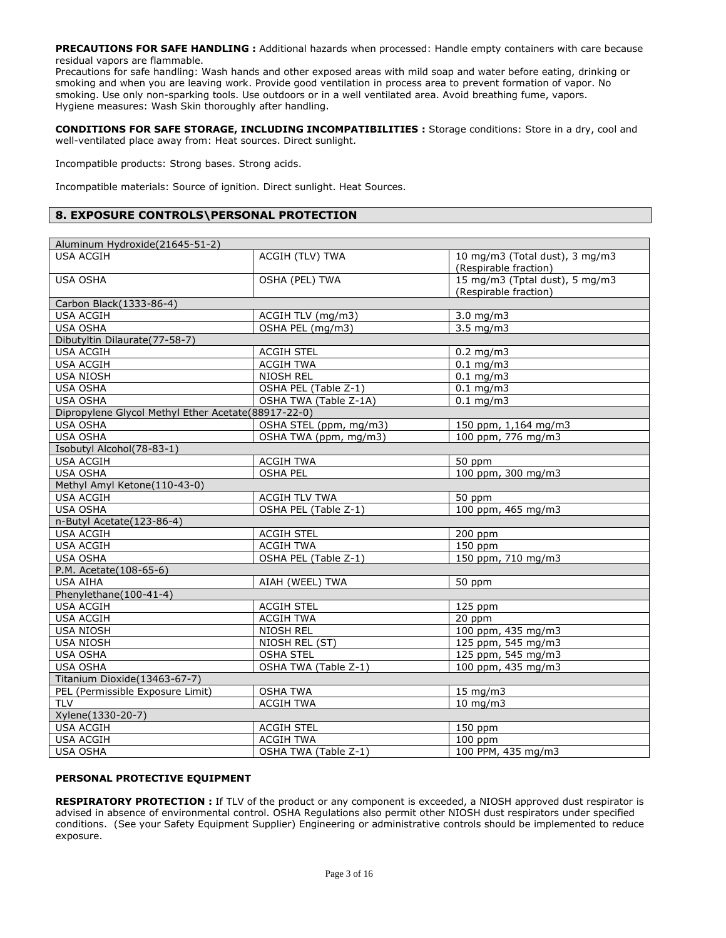**PRECAUTIONS FOR SAFE HANDLING :** Additional hazards when processed: Handle empty containers with care because residual vapors are flammable.

Precautions for safe handling: Wash hands and other exposed areas with mild soap and water before eating, drinking or smoking and when you are leaving work. Provide good ventilation in process area to prevent formation of vapor. No smoking. Use only non-sparking tools. Use outdoors or in a well ventilated area. Avoid breathing fume, vapors. Hygiene measures: Wash Skin thoroughly after handling.

**CONDITIONS FOR SAFE STORAGE, INCLUDING INCOMPATIBILITIES :** Storage conditions: Store in a dry, cool and well-ventilated place away from: Heat sources. Direct sunlight.

Incompatible products: Strong bases. Strong acids.

Incompatible materials: Source of ignition. Direct sunlight. Heat Sources.

### **8. EXPOSURE CONTROLS\PERSONAL PROTECTION**

| Aluminum Hydroxide(21645-51-2)                      |                        |                                                         |
|-----------------------------------------------------|------------------------|---------------------------------------------------------|
| <b>USA ACGIH</b>                                    | ACGIH (TLV) TWA        | 10 mg/m3 (Total dust), 3 mg/m3<br>(Respirable fraction) |
| <b>USA OSHA</b>                                     | OSHA (PEL) TWA         | 15 mg/m3 (Tptal dust), 5 mg/m3<br>(Respirable fraction) |
| Carbon Black(1333-86-4)                             |                        |                                                         |
| <b>USA ACGIH</b>                                    | ACGIH TLV (mg/m3)      | $3.0$ mg/m $3$                                          |
| <b>USA OSHA</b>                                     | OSHA PEL (mg/m3)       | $3.5 \text{ mg/m}$                                      |
| Dibutyltin Dilaurate(77-58-7)                       |                        |                                                         |
| <b>USA ACGIH</b>                                    | <b>ACGIH STEL</b>      | $0.2$ mg/m3                                             |
| <b>USA ACGIH</b>                                    | <b>ACGIH TWA</b>       | $0.1$ mg/m3                                             |
| <b>USA NIOSH</b>                                    | NIOSH REL              | $0.1$ mg/m3                                             |
| <b>USA OSHA</b>                                     | OSHA PEL (Table Z-1)   | $0.1$ mg/m3                                             |
| <b>USA OSHA</b>                                     | OSHA TWA (Table Z-1A)  | $0.1$ mg/m3                                             |
| Dipropylene Glycol Methyl Ether Acetate(88917-22-0) |                        |                                                         |
| <b>USA OSHA</b>                                     | OSHA STEL (ppm, mg/m3) | 150 ppm, 1,164 mg/m3                                    |
| <b>USA OSHA</b>                                     | OSHA TWA (ppm, mg/m3)  | 100 ppm, 776 mg/m3                                      |
| Isobutyl Alcohol(78-83-1)                           |                        |                                                         |
| <b>USA ACGIH</b>                                    | <b>ACGIH TWA</b>       | 50 ppm                                                  |
| USA OSHA                                            | <b>OSHA PEL</b>        | 100 ppm, 300 mg/m3                                      |
| Methyl Amyl Ketone(110-43-0)                        |                        |                                                         |
| <b>USA ACGIH</b>                                    | <b>ACGIH TLV TWA</b>   | 50 ppm                                                  |
| USA OSHA                                            | OSHA PEL (Table Z-1)   | 100 ppm, 465 mg/m3                                      |
| n-Butyl Acetate(123-86-4)                           |                        |                                                         |
| <b>USA ACGIH</b>                                    | <b>ACGIH STEL</b>      | 200 ppm                                                 |
| <b>USA ACGIH</b>                                    | <b>ACGIH TWA</b>       | $150$ ppm                                               |
| <b>USA OSHA</b>                                     | OSHA PEL (Table Z-1)   | 150 ppm, 710 mg/m3                                      |
| P.M. Acetate(108-65-6)                              |                        |                                                         |
| <b>USA AIHA</b>                                     | AIAH (WEEL) TWA        | 50 ppm                                                  |
| Phenylethane(100-41-4)                              |                        |                                                         |
| <b>USA ACGIH</b>                                    | <b>ACGIH STEL</b>      | 125 ppm                                                 |
| <b>USA ACGIH</b>                                    | <b>ACGIH TWA</b>       | 20 ppm                                                  |
| <b>USA NIOSH</b>                                    | <b>NIOSH REL</b>       | 100 ppm, 435 mg/m3                                      |
| <b>USA NIOSH</b>                                    | NIOSH REL (ST)         | 125 ppm, 545 mg/m3                                      |
| <b>USA OSHA</b>                                     | <b>OSHA STEL</b>       | 125 ppm, 545 mg/m3                                      |
| <b>USA OSHA</b>                                     | OSHA TWA (Table Z-1)   | 100 ppm, 435 mg/m3                                      |
| Titanium Dioxide(13463-67-7)                        |                        |                                                         |
| PEL (Permissible Exposure Limit)                    | <b>OSHA TWA</b>        | 15 mg/m3                                                |
| <b>TLV</b>                                          | <b>ACGIH TWA</b>       | 10 mg/m3                                                |
| Xylene(1330-20-7)                                   |                        |                                                         |
| <b>USA ACGIH</b>                                    | <b>ACGIH STEL</b>      | 150 ppm                                                 |
| <b>USA ACGIH</b>                                    | <b>ACGIH TWA</b>       | $100$ ppm                                               |
| USA OSHA                                            | OSHA TWA (Table Z-1)   | 100 PPM, 435 mg/m3                                      |

### **PERSONAL PROTECTIVE EQUIPMENT**

**RESPIRATORY PROTECTION :** If TLV of the product or any component is exceeded, a NIOSH approved dust respirator is advised in absence of environmental control. OSHA Regulations also permit other NIOSH dust respirators under specified conditions. (See your Safety Equipment Supplier) Engineering or administrative controls should be implemented to reduce exposure.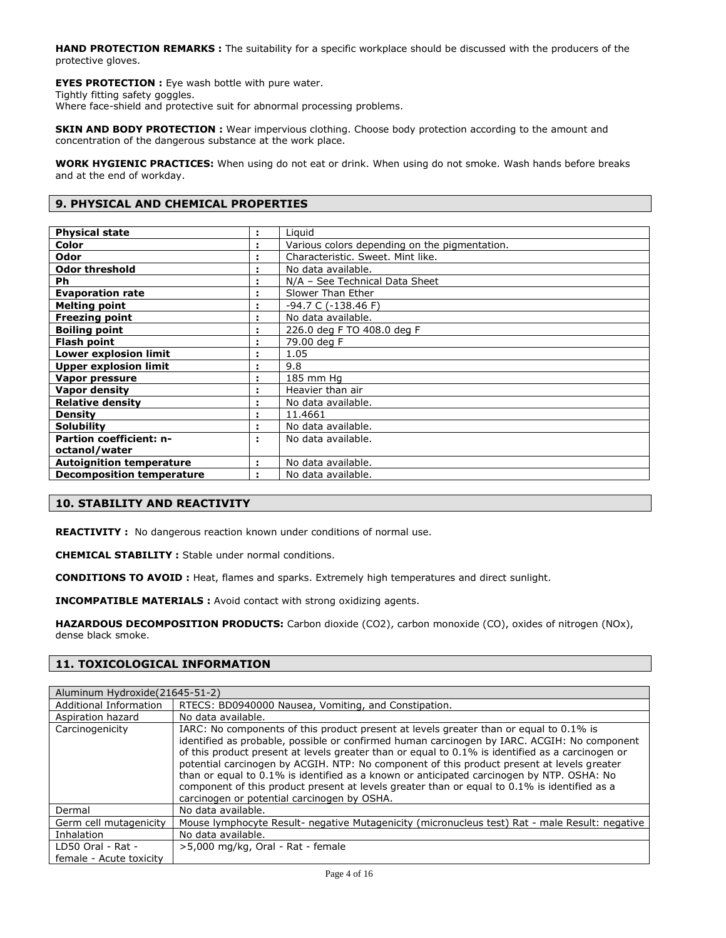**HAND PROTECTION REMARKS :** The suitability for a specific workplace should be discussed with the producers of the protective gloves.

**EYES PROTECTION :** Eye wash bottle with pure water. Tightly fitting safety goggles.

Where face-shield and protective suit for abnormal processing problems.

**SKIN AND BODY PROTECTION :** Wear impervious clothing. Choose body protection according to the amount and concentration of the dangerous substance at the work place.

**WORK HYGIENIC PRACTICES:** When using do not eat or drink. When using do not smoke. Wash hands before breaks and at the end of workday.

### **9. PHYSICAL AND CHEMICAL PROPERTIES**

| <b>Physical state</b>            | ÷. | Liguid                                        |
|----------------------------------|----|-----------------------------------------------|
| Color                            |    | Various colors depending on the pigmentation. |
| Odor                             |    | Characteristic. Sweet. Mint like.             |
| <b>Odor threshold</b>            |    | No data available.                            |
| Ph                               |    | N/A - See Technical Data Sheet                |
| <b>Evaporation rate</b>          |    | Slower Than Ether                             |
| <b>Melting point</b>             |    | -94.7 C (-138.46 F)                           |
| <b>Freezing point</b>            |    | No data available.                            |
| <b>Boiling point</b>             |    | 226.0 deg F TO 408.0 deg F                    |
| <b>Flash point</b>               |    | 79.00 deg F                                   |
| <b>Lower explosion limit</b>     |    | 1.05                                          |
| <b>Upper explosion limit</b>     | ÷  | 9.8                                           |
| Vapor pressure                   | ÷  | 185 mm Hg                                     |
| <b>Vapor density</b>             |    | Heavier than air                              |
| <b>Relative density</b>          |    | No data available.                            |
| <b>Density</b>                   |    | 11.4661                                       |
| <b>Solubility</b>                |    | No data available.                            |
| <b>Partion coefficient: n-</b>   | ÷. | No data available.                            |
| octanol/water                    |    |                                               |
| <b>Autoignition temperature</b>  |    | No data available.                            |
| <b>Decomposition temperature</b> | ٠. | No data available.                            |
|                                  |    |                                               |

### **10. STABILITY AND REACTIVITY**

**REACTIVITY :** No dangerous reaction known under conditions of normal use.

**CHEMICAL STABILITY :** Stable under normal conditions.

**CONDITIONS TO AVOID :** Heat, flames and sparks. Extremely high temperatures and direct sunlight.

**INCOMPATIBLE MATERIALS :** Avoid contact with strong oxidizing agents.

**HAZARDOUS DECOMPOSITION PRODUCTS:** Carbon dioxide (CO2), carbon monoxide (CO), oxides of nitrogen (NOx), dense black smoke.

### **11. TOXICOLOGICAL INFORMATION**

| Aluminum Hydroxide (21645-51-2) |                                                                                                                                                                                                                                                                                                                                                                                                                                                                                                                                                                                                                                     |
|---------------------------------|-------------------------------------------------------------------------------------------------------------------------------------------------------------------------------------------------------------------------------------------------------------------------------------------------------------------------------------------------------------------------------------------------------------------------------------------------------------------------------------------------------------------------------------------------------------------------------------------------------------------------------------|
| Additional Information          | RTECS: BD0940000 Nausea, Vomiting, and Constipation.                                                                                                                                                                                                                                                                                                                                                                                                                                                                                                                                                                                |
| Aspiration hazard               | No data available.                                                                                                                                                                                                                                                                                                                                                                                                                                                                                                                                                                                                                  |
| Carcinogenicity                 | IARC: No components of this product present at levels greater than or equal to 0.1% is<br>identified as probable, possible or confirmed human carcinogen by IARC. ACGIH: No component<br>of this product present at levels greater than or equal to 0.1% is identified as a carcinogen or<br>potential carcinogen by ACGIH. NTP: No component of this product present at levels greater<br>than or equal to 0.1% is identified as a known or anticipated carcinogen by NTP. OSHA: No<br>component of this product present at levels greater than or equal to 0.1% is identified as a<br>carcinogen or potential carcinogen by OSHA. |
| Dermal                          | No data available.                                                                                                                                                                                                                                                                                                                                                                                                                                                                                                                                                                                                                  |
| Germ cell mutagenicity          | Mouse lymphocyte Result- negative Mutagenicity (micronucleus test) Rat - male Result: negative                                                                                                                                                                                                                                                                                                                                                                                                                                                                                                                                      |
| Inhalation                      | No data available.                                                                                                                                                                                                                                                                                                                                                                                                                                                                                                                                                                                                                  |
| LD50 Oral - Rat -               | >5,000 mg/kg, Oral - Rat - female                                                                                                                                                                                                                                                                                                                                                                                                                                                                                                                                                                                                   |
| female - Acute toxicity         |                                                                                                                                                                                                                                                                                                                                                                                                                                                                                                                                                                                                                                     |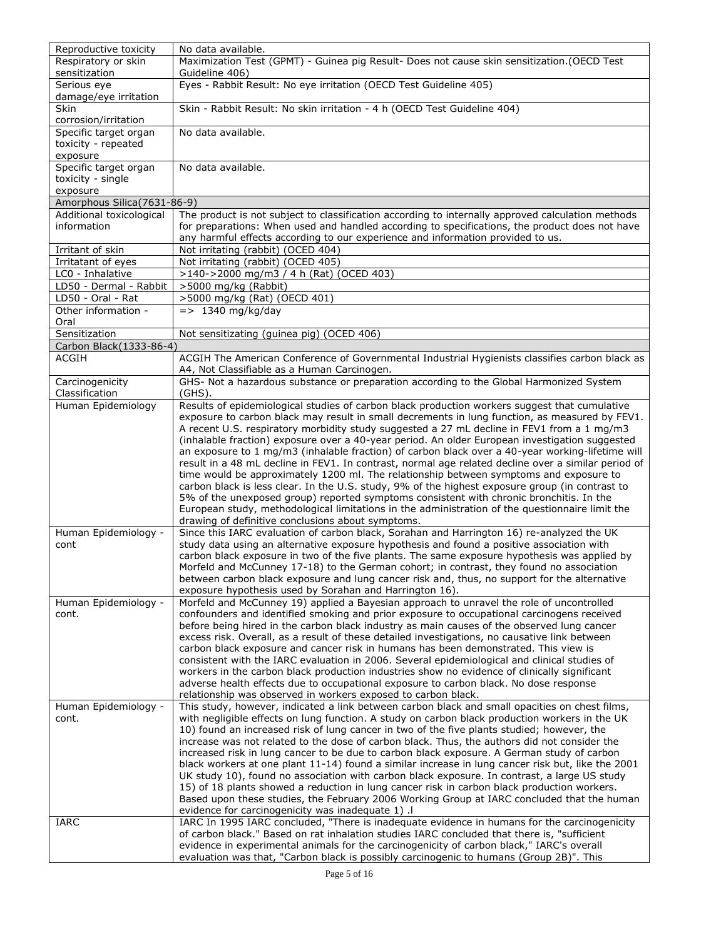| Reproductive toxicity                         | No data available.                                                                                                                                                                           |
|-----------------------------------------------|----------------------------------------------------------------------------------------------------------------------------------------------------------------------------------------------|
| Respiratory or skin<br>sensitization          | Maximization Test (GPMT) - Guinea pig Result- Does not cause skin sensitization.(OECD Test<br>Guideline 406)                                                                                 |
| Serious eye<br>damage/eye irritation          | Eyes - Rabbit Result: No eye irritation (OECD Test Guideline 405)                                                                                                                            |
| Skin                                          | Skin - Rabbit Result: No skin irritation - 4 h (OECD Test Guideline 404)                                                                                                                     |
| corrosion/irritation<br>Specific target organ | No data available.                                                                                                                                                                           |
| toxicity - repeated<br>exposure               |                                                                                                                                                                                              |
| Specific target organ                         | No data available.                                                                                                                                                                           |
| toxicity - single                             |                                                                                                                                                                                              |
| exposure<br>Amorphous Silica(7631-86-9)       |                                                                                                                                                                                              |
| Additional toxicological                      | The product is not subject to classification according to internally approved calculation methods                                                                                            |
| information                                   | for preparations: When used and handled according to specifications, the product does not have<br>any harmful effects according to our experience and information provided to us.            |
| Irritant of skin                              | Not irritating (rabbit) (OCED 404)                                                                                                                                                           |
| Irritatant of eyes                            | Not irritating (rabbit) (OCED 405)                                                                                                                                                           |
| LC0 - Inhalative                              | >140->2000 mg/m3 / 4 h (Rat) (OCED 403)                                                                                                                                                      |
| LD50 - Dermal - Rabbit                        | >5000 mg/kg (Rabbit)                                                                                                                                                                         |
| LD50 - Oral - Rat                             | >5000 mg/kg (Rat) (OECD 401)                                                                                                                                                                 |
| Other information -<br>Oral                   | $=$ > 1340 mg/kg/day                                                                                                                                                                         |
| Sensitization                                 | Not sensitizating (guinea pig) (OCED 406)                                                                                                                                                    |
| Carbon Black(1333-86-4)                       |                                                                                                                                                                                              |
| ACGIH                                         | ACGIH The American Conference of Governmental Industrial Hygienists classifies carbon black as<br>A4, Not Classifiable as a Human Carcinogen.                                                |
| Carcinogenicity                               | GHS- Not a hazardous substance or preparation according to the Global Harmonized System                                                                                                      |
| Classification                                | $(GHS)$ .                                                                                                                                                                                    |
| Human Epidemiology                            | Results of epidemiological studies of carbon black production workers suggest that cumulative                                                                                                |
|                                               | exposure to carbon black may result in small decrements in lung function, as measured by FEV1.<br>A recent U.S. respiratory morbidity study suggested a 27 mL decline in FEV1 from a 1 mg/m3 |
|                                               | (inhalable fraction) exposure over a 40-year period. An older European investigation suggested                                                                                               |
|                                               | an exposure to 1 mg/m3 (inhalable fraction) of carbon black over a 40-year working-lifetime will                                                                                             |
|                                               | result in a 48 mL decline in FEV1. In contrast, normal age related decline over a similar period of                                                                                          |
|                                               | time would be approximately 1200 ml. The relationship between symptoms and exposure to                                                                                                       |
|                                               | carbon black is less clear. In the U.S. study, 9% of the highest exposure group (in contrast to                                                                                              |
|                                               | 5% of the unexposed group) reported symptoms consistent with chronic bronchitis. In the                                                                                                      |
|                                               | European study, methodological limitations in the administration of the questionnaire limit the                                                                                              |
| Human Epidemiology -                          | drawing of definitive conclusions about symptoms.<br>Since this IARC evaluation of carbon black, Sorahan and Harrington 16) re-analyzed the UK                                               |
| cont                                          | study data using an alternative exposure hypothesis and found a positive association with                                                                                                    |
|                                               | carbon black exposure in two of the five plants. The same exposure hypothesis was applied by                                                                                                 |
|                                               | Morfeld and McCunney 17-18) to the German cohort; in contrast, they found no association                                                                                                     |
|                                               | between carbon black exposure and lung cancer risk and, thus, no support for the alternative                                                                                                 |
|                                               | exposure hypothesis used by Sorahan and Harrington 16).                                                                                                                                      |
| Human Epidemiology -                          | Morfeld and McCunney 19) applied a Bayesian approach to unravel the role of uncontrolled                                                                                                     |
| cont.                                         | confounders and identified smoking and prior exposure to occupational carcinogens received                                                                                                   |
|                                               | before being hired in the carbon black industry as main causes of the observed lung cancer                                                                                                   |
|                                               | excess risk. Overall, as a result of these detailed investigations, no causative link between<br>carbon black exposure and cancer risk in humans has been demonstrated. This view is         |
|                                               | consistent with the IARC evaluation in 2006. Several epidemiological and clinical studies of                                                                                                 |
|                                               | workers in the carbon black production industries show no evidence of clinically significant                                                                                                 |
|                                               | adverse health effects due to occupational exposure to carbon black. No dose response                                                                                                        |
|                                               | relationship was observed in workers exposed to carbon black.                                                                                                                                |
| Human Epidemiology -                          | This study, however, indicated a link between carbon black and small opacities on chest films,                                                                                               |
| cont.                                         | with negligible effects on lung function. A study on carbon black production workers in the UK                                                                                               |
|                                               | 10) found an increased risk of lung cancer in two of the five plants studied; however, the                                                                                                   |
|                                               | increase was not related to the dose of carbon black. Thus, the authors did not consider the<br>increased risk in lung cancer to be due to carbon black exposure. A German study of carbon   |
|                                               | black workers at one plant 11-14) found a similar increase in lung cancer risk but, like the 2001                                                                                            |
|                                               | UK study 10), found no association with carbon black exposure. In contrast, a large US study                                                                                                 |
|                                               | 15) of 18 plants showed a reduction in lung cancer risk in carbon black production workers.                                                                                                  |
|                                               | Based upon these studies, the February 2006 Working Group at IARC concluded that the human                                                                                                   |
|                                               | evidence for carcinogenicity was inadequate 1).                                                                                                                                              |
| IARC                                          | IARC In 1995 IARC concluded, "There is inadequate evidence in humans for the carcinogenicity                                                                                                 |
|                                               | of carbon black." Based on rat inhalation studies IARC concluded that there is, "sufficient                                                                                                  |
|                                               | evidence in experimental animals for the carcinogenicity of carbon black," IARC's overall<br>evaluation was that, "Carbon black is possibly carcinogenic to humans (Group 2B)". This         |
|                                               |                                                                                                                                                                                              |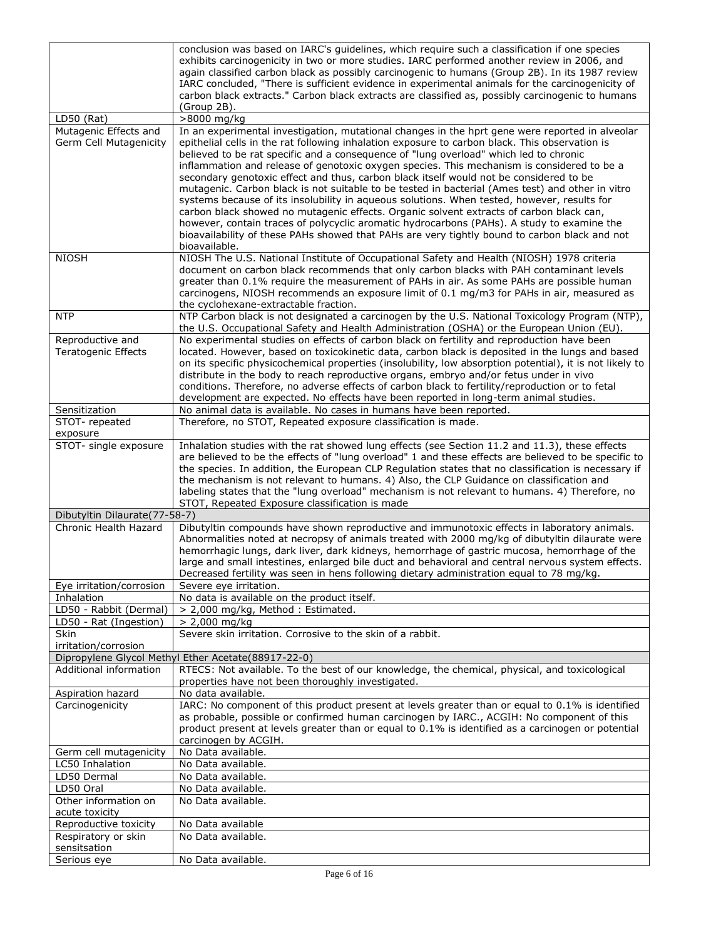|                                                 | conclusion was based on IARC's quidelines, which require such a classification if one species<br>exhibits carcinogenicity in two or more studies. IARC performed another review in 2006, and<br>again classified carbon black as possibly carcinogenic to humans (Group 2B). In its 1987 review<br>IARC concluded, "There is sufficient evidence in experimental animals for the carcinogenicity of<br>carbon black extracts." Carbon black extracts are classified as, possibly carcinogenic to humans<br>(Group 2B).                                                                                                                                                                                                                                                                                                                                                                                                                                                                           |
|-------------------------------------------------|--------------------------------------------------------------------------------------------------------------------------------------------------------------------------------------------------------------------------------------------------------------------------------------------------------------------------------------------------------------------------------------------------------------------------------------------------------------------------------------------------------------------------------------------------------------------------------------------------------------------------------------------------------------------------------------------------------------------------------------------------------------------------------------------------------------------------------------------------------------------------------------------------------------------------------------------------------------------------------------------------|
| $LD50$ (Rat)                                    | >8000 mg/kg                                                                                                                                                                                                                                                                                                                                                                                                                                                                                                                                                                                                                                                                                                                                                                                                                                                                                                                                                                                      |
| Mutagenic Effects and<br>Germ Cell Mutagenicity | In an experimental investigation, mutational changes in the hprt gene were reported in alveolar<br>epithelial cells in the rat following inhalation exposure to carbon black. This observation is<br>believed to be rat specific and a consequence of "lung overload" which led to chronic<br>inflammation and release of genotoxic oxygen species. This mechanism is considered to be a<br>secondary genotoxic effect and thus, carbon black itself would not be considered to be<br>mutagenic. Carbon black is not suitable to be tested in bacterial (Ames test) and other in vitro<br>systems because of its insolubility in aqueous solutions. When tested, however, results for<br>carbon black showed no mutagenic effects. Organic solvent extracts of carbon black can,<br>however, contain traces of polycyclic aromatic hydrocarbons (PAHs). A study to examine the<br>bioavailability of these PAHs showed that PAHs are very tightly bound to carbon black and not<br>bioavailable. |
| <b>NIOSH</b>                                    | NIOSH The U.S. National Institute of Occupational Safety and Health (NIOSH) 1978 criteria<br>document on carbon black recommends that only carbon blacks with PAH contaminant levels<br>greater than 0.1% require the measurement of PAHs in air. As some PAHs are possible human<br>carcinogens, NIOSH recommends an exposure limit of 0.1 mg/m3 for PAHs in air, measured as<br>the cyclohexane-extractable fraction.                                                                                                                                                                                                                                                                                                                                                                                                                                                                                                                                                                          |
| <b>NTP</b>                                      | NTP Carbon black is not designated a carcinogen by the U.S. National Toxicology Program (NTP),                                                                                                                                                                                                                                                                                                                                                                                                                                                                                                                                                                                                                                                                                                                                                                                                                                                                                                   |
| Reproductive and<br><b>Teratogenic Effects</b>  | the U.S. Occupational Safety and Health Administration (OSHA) or the European Union (EU).<br>No experimental studies on effects of carbon black on fertility and reproduction have been<br>located. However, based on toxicokinetic data, carbon black is deposited in the lungs and based<br>on its specific physicochemical properties (insolubility, low absorption potential), it is not likely to<br>distribute in the body to reach reproductive organs, embryo and/or fetus under in vivo<br>conditions. Therefore, no adverse effects of carbon black to fertility/reproduction or to fetal<br>development are expected. No effects have been reported in long-term animal studies.                                                                                                                                                                                                                                                                                                      |
| Sensitization                                   | No animal data is available. No cases in humans have been reported.                                                                                                                                                                                                                                                                                                                                                                                                                                                                                                                                                                                                                                                                                                                                                                                                                                                                                                                              |
| STOT-repeated<br>exposure                       | Therefore, no STOT, Repeated exposure classification is made.                                                                                                                                                                                                                                                                                                                                                                                                                                                                                                                                                                                                                                                                                                                                                                                                                                                                                                                                    |
| STOT- single exposure                           | Inhalation studies with the rat showed lung effects (see Section 11.2 and 11.3), these effects<br>are believed to be the effects of "lung overload" 1 and these effects are believed to be specific to<br>the species. In addition, the European CLP Regulation states that no classification is necessary if<br>the mechanism is not relevant to humans. 4) Also, the CLP Guidance on classification and<br>labeling states that the "lung overload" mechanism is not relevant to humans. 4) Therefore, no<br>STOT, Repeated Exposure classification is made                                                                                                                                                                                                                                                                                                                                                                                                                                    |
| Dibutyltin Dilaurate(77-58-7)                   |                                                                                                                                                                                                                                                                                                                                                                                                                                                                                                                                                                                                                                                                                                                                                                                                                                                                                                                                                                                                  |
| Chronic Health Hazard                           | Dibutyltin compounds have shown reproductive and immunotoxic effects in laboratory animals.<br>Abnormalities noted at necropsy of animals treated with 2000 mg/kg of dibutyltin dilaurate were<br>hemorrhagic lungs, dark liver, dark kidneys, hemorrhage of gastric mucosa, hemorrhage of the<br>large and small intestines, enlarged bile duct and behavioral and central nervous system effects.<br>Decreased fertility was seen in hens following dietary administration equal to 78 mg/kg.                                                                                                                                                                                                                                                                                                                                                                                                                                                                                                  |
| Eye irritation/corrosion<br>Inhalation          | Severe eye irritation.<br>No data is available on the product itself.                                                                                                                                                                                                                                                                                                                                                                                                                                                                                                                                                                                                                                                                                                                                                                                                                                                                                                                            |
| LD50 - Rabbit (Dermal)                          | > 2,000 mg/kg, Method: Estimated.                                                                                                                                                                                                                                                                                                                                                                                                                                                                                                                                                                                                                                                                                                                                                                                                                                                                                                                                                                |
| LD50 - Rat (Ingestion)                          | $> 2,000$ mg/kg                                                                                                                                                                                                                                                                                                                                                                                                                                                                                                                                                                                                                                                                                                                                                                                                                                                                                                                                                                                  |
| Skin<br>irritation/corrosion                    | Severe skin irritation. Corrosive to the skin of a rabbit.                                                                                                                                                                                                                                                                                                                                                                                                                                                                                                                                                                                                                                                                                                                                                                                                                                                                                                                                       |
|                                                 | Dipropylene Glycol Methyl Ether Acetate(88917-22-0)                                                                                                                                                                                                                                                                                                                                                                                                                                                                                                                                                                                                                                                                                                                                                                                                                                                                                                                                              |
| Additional information                          | RTECS: Not available. To the best of our knowledge, the chemical, physical, and toxicological<br>properties have not been thoroughly investigated.                                                                                                                                                                                                                                                                                                                                                                                                                                                                                                                                                                                                                                                                                                                                                                                                                                               |
| Aspiration hazard                               | No data available.                                                                                                                                                                                                                                                                                                                                                                                                                                                                                                                                                                                                                                                                                                                                                                                                                                                                                                                                                                               |
| Carcinogenicity                                 | IARC: No component of this product present at levels greater than or equal to 0.1% is identified<br>as probable, possible or confirmed human carcinogen by IARC., ACGIH: No component of this<br>product present at levels greater than or equal to 0.1% is identified as a carcinogen or potential<br>carcinogen by ACGIH.                                                                                                                                                                                                                                                                                                                                                                                                                                                                                                                                                                                                                                                                      |
| Germ cell mutagenicity                          | No Data available.                                                                                                                                                                                                                                                                                                                                                                                                                                                                                                                                                                                                                                                                                                                                                                                                                                                                                                                                                                               |
| LC50 Inhalation                                 | No Data available.                                                                                                                                                                                                                                                                                                                                                                                                                                                                                                                                                                                                                                                                                                                                                                                                                                                                                                                                                                               |
| LD50 Dermal<br>LD50 Oral                        | No Data available.<br>No Data available.                                                                                                                                                                                                                                                                                                                                                                                                                                                                                                                                                                                                                                                                                                                                                                                                                                                                                                                                                         |
| Other information on<br>acute toxicity          | No Data available.                                                                                                                                                                                                                                                                                                                                                                                                                                                                                                                                                                                                                                                                                                                                                                                                                                                                                                                                                                               |
| Reproductive toxicity                           | No Data available                                                                                                                                                                                                                                                                                                                                                                                                                                                                                                                                                                                                                                                                                                                                                                                                                                                                                                                                                                                |
| Respiratory or skin<br>sensitsation             | No Data available.                                                                                                                                                                                                                                                                                                                                                                                                                                                                                                                                                                                                                                                                                                                                                                                                                                                                                                                                                                               |
| Serious eye                                     | No Data available.                                                                                                                                                                                                                                                                                                                                                                                                                                                                                                                                                                                                                                                                                                                                                                                                                                                                                                                                                                               |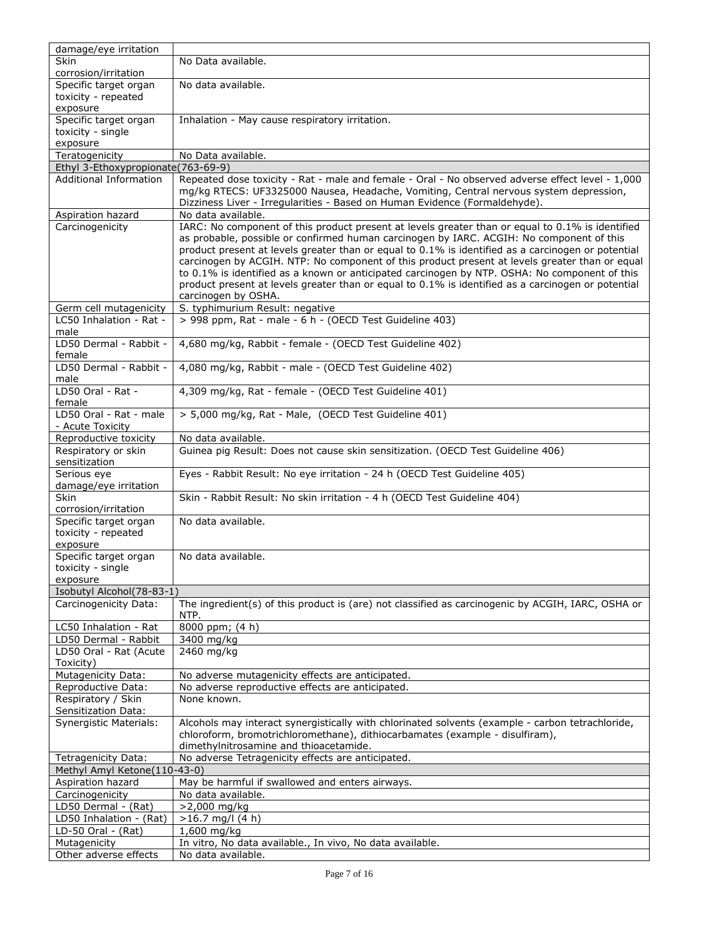| damage/eye irritation                         |                                                                                                                                                                                                 |
|-----------------------------------------------|-------------------------------------------------------------------------------------------------------------------------------------------------------------------------------------------------|
| <b>Skin</b>                                   | No Data available.                                                                                                                                                                              |
| corrosion/irritation                          |                                                                                                                                                                                                 |
| Specific target organ                         | No data available.                                                                                                                                                                              |
| toxicity - repeated                           |                                                                                                                                                                                                 |
| exposure<br>Specific target organ             | Inhalation - May cause respiratory irritation.                                                                                                                                                  |
| toxicity - single                             |                                                                                                                                                                                                 |
| exposure                                      |                                                                                                                                                                                                 |
| Teratogenicity                                | No Data available.                                                                                                                                                                              |
| Ethyl 3-Ethoxypropionate(763-69-9)            |                                                                                                                                                                                                 |
| <b>Additional Information</b>                 | Repeated dose toxicity - Rat - male and female - Oral - No observed adverse effect level - 1,000                                                                                                |
|                                               | mg/kg RTECS: UF3325000 Nausea, Headache, Vomiting, Central nervous system depression,                                                                                                           |
|                                               | Dizziness Liver - Irregularities - Based on Human Evidence (Formaldehyde).                                                                                                                      |
| Aspiration hazard                             | No data available.                                                                                                                                                                              |
| Carcinogenicity                               | IARC: No component of this product present at levels greater than or equal to 0.1% is identified                                                                                                |
|                                               | as probable, possible or confirmed human carcinogen by IARC. ACGIH: No component of this                                                                                                        |
|                                               | product present at levels greater than or equal to 0.1% is identified as a carcinogen or potential                                                                                              |
|                                               | carcinogen by ACGIH. NTP: No component of this product present at levels greater than or equal<br>to 0.1% is identified as a known or anticipated carcinogen by NTP. OSHA: No component of this |
|                                               | product present at levels greater than or equal to 0.1% is identified as a carcinogen or potential                                                                                              |
|                                               | carcinogen by OSHA.                                                                                                                                                                             |
| Germ cell mutagenicity                        | S. typhimurium Result: negative                                                                                                                                                                 |
| LC50 Inhalation - Rat -                       | > 998 ppm, Rat - male - 6 h - (OECD Test Guideline 403)                                                                                                                                         |
| male                                          |                                                                                                                                                                                                 |
| LD50 Dermal - Rabbit -                        | 4,680 mg/kg, Rabbit - female - (OECD Test Guideline 402)                                                                                                                                        |
| female                                        |                                                                                                                                                                                                 |
| LD50 Dermal - Rabbit -                        | 4,080 mg/kg, Rabbit - male - (OECD Test Guideline 402)                                                                                                                                          |
| male                                          |                                                                                                                                                                                                 |
| LD50 Oral - Rat -<br>female                   | 4,309 mg/kg, Rat - female - (OECD Test Guideline 401)                                                                                                                                           |
| LD50 Oral - Rat - male                        | > 5,000 mg/kg, Rat - Male, (OECD Test Guideline 401)                                                                                                                                            |
| - Acute Toxicity                              |                                                                                                                                                                                                 |
| Reproductive toxicity                         | No data available.                                                                                                                                                                              |
| Respiratory or skin                           | Guinea pig Result: Does not cause skin sensitization. (OECD Test Guideline 406)                                                                                                                 |
| sensitization                                 |                                                                                                                                                                                                 |
| Serious eye                                   | Eyes - Rabbit Result: No eye irritation - 24 h (OECD Test Guideline 405)                                                                                                                        |
| damage/eye irritation                         |                                                                                                                                                                                                 |
| <b>Skin</b>                                   | Skin - Rabbit Result: No skin irritation - 4 h (OECD Test Guideline 404)                                                                                                                        |
| corrosion/irritation                          |                                                                                                                                                                                                 |
| Specific target organ<br>toxicity - repeated  | No data available.                                                                                                                                                                              |
| exposure                                      |                                                                                                                                                                                                 |
| Specific target organ                         | No data available.                                                                                                                                                                              |
| toxicity - single                             |                                                                                                                                                                                                 |
| exposure                                      |                                                                                                                                                                                                 |
| Isobutyl Alcohol(78-83-1)                     |                                                                                                                                                                                                 |
| Carcinogenicity Data:                         | The ingredient(s) of this product is (are) not classified as carcinogenic by ACGIH, IARC, OSHA or                                                                                               |
|                                               | NTP.                                                                                                                                                                                            |
| LC50 Inhalation - Rat                         | 8000 ppm; (4 h)                                                                                                                                                                                 |
| LD50 Dermal - Rabbit                          | 3400 mg/kg                                                                                                                                                                                      |
| LD50 Oral - Rat (Acute                        | 2460 mg/kg                                                                                                                                                                                      |
| Toxicity)<br>Mutagenicity Data:               | No adverse mutagenicity effects are anticipated.                                                                                                                                                |
| Reproductive Data:                            | No adverse reproductive effects are anticipated.                                                                                                                                                |
| Respiratory / Skin                            | None known.                                                                                                                                                                                     |
| Sensitization Data:                           |                                                                                                                                                                                                 |
| <b>Synergistic Materials:</b>                 | Alcohols may interact synergistically with chlorinated solvents (example - carbon tetrachloride,                                                                                                |
|                                               | chloroform, bromotrichloromethane), dithiocarbamates (example - disulfiram),                                                                                                                    |
|                                               | dimethylnitrosamine and thioacetamide.                                                                                                                                                          |
| Tetragenicity Data:                           | No adverse Tetragenicity effects are anticipated.                                                                                                                                               |
| Methyl Amyl Ketone(110-43-0)                  |                                                                                                                                                                                                 |
| Aspiration hazard                             | May be harmful if swallowed and enters airways.                                                                                                                                                 |
| Carcinogenicity                               | No data available.                                                                                                                                                                              |
| LD50 Dermal - (Rat)                           | >2,000 mg/kg                                                                                                                                                                                    |
| LD50 Inhalation - (Rat)<br>LD-50 Oral - (Rat) | $>16.7$ mg/l (4 h)<br>1,600 mg/kg                                                                                                                                                               |
| Mutagenicity                                  | In vitro, No data available., In vivo, No data available.                                                                                                                                       |
| Other adverse effects                         | No data available.                                                                                                                                                                              |
|                                               |                                                                                                                                                                                                 |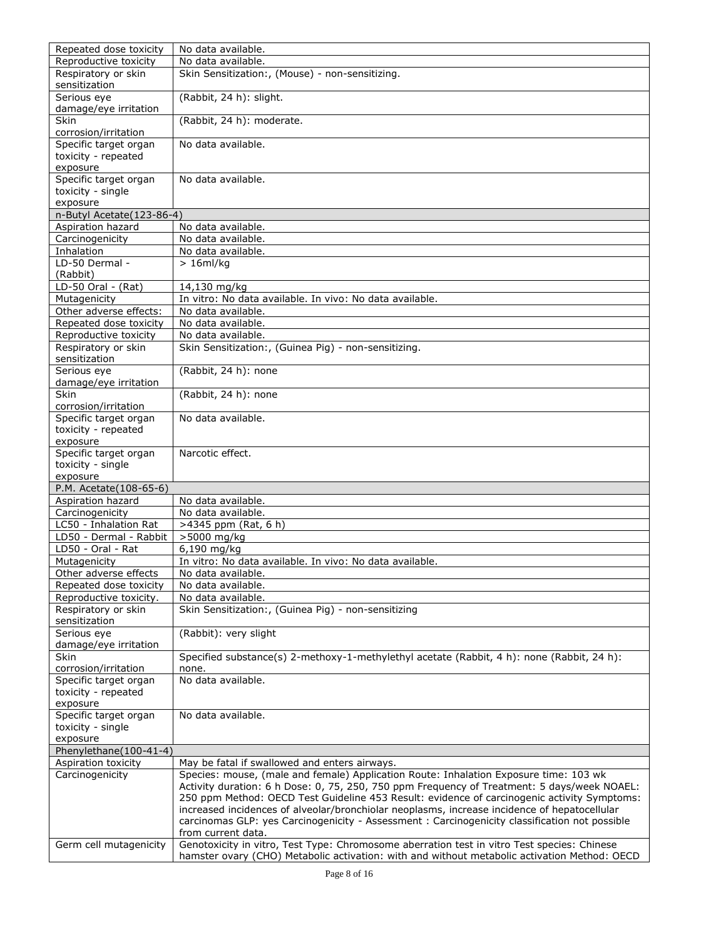| Repeated dose toxicity               | No data available.                                                                                                                                                                             |
|--------------------------------------|------------------------------------------------------------------------------------------------------------------------------------------------------------------------------------------------|
| Reproductive toxicity                | No data available.                                                                                                                                                                             |
| Respiratory or skin<br>sensitization | Skin Sensitization:, (Mouse) - non-sensitizing.                                                                                                                                                |
| Serious eye<br>damage/eye irritation | (Rabbit, 24 h): slight.                                                                                                                                                                        |
| <b>Skin</b><br>corrosion/irritation  | (Rabbit, 24 h): moderate.                                                                                                                                                                      |
| Specific target organ                | No data available.                                                                                                                                                                             |
| toxicity - repeated                  |                                                                                                                                                                                                |
| exposure<br>Specific target organ    | No data available.                                                                                                                                                                             |
| toxicity - single                    |                                                                                                                                                                                                |
| exposure                             |                                                                                                                                                                                                |
| n-Butyl Acetate (123-86-4)           |                                                                                                                                                                                                |
| Aspiration hazard                    | No data available.                                                                                                                                                                             |
| Carcinogenicity                      | No data available.                                                                                                                                                                             |
| Inhalation                           | No data available.                                                                                                                                                                             |
| LD-50 Dermal -<br>(Rabbit)           | $> 16$ ml/kg                                                                                                                                                                                   |
| LD-50 Oral - $(Rat)$                 | 14,130 mg/kg                                                                                                                                                                                   |
| Mutagenicity                         | In vitro: No data available. In vivo: No data available.                                                                                                                                       |
| Other adverse effects:               | No data available.                                                                                                                                                                             |
| Repeated dose toxicity               | No data available.                                                                                                                                                                             |
| Reproductive toxicity                | No data available.                                                                                                                                                                             |
| Respiratory or skin                  | Skin Sensitization:, (Guinea Pig) - non-sensitizing.                                                                                                                                           |
| sensitization                        |                                                                                                                                                                                                |
| Serious eye                          | (Rabbit, 24 h): none                                                                                                                                                                           |
| damage/eye irritation                |                                                                                                                                                                                                |
| Skin                                 | (Rabbit, 24 h): none                                                                                                                                                                           |
| corrosion/irritation                 |                                                                                                                                                                                                |
| Specific target organ                | No data available.                                                                                                                                                                             |
| toxicity - repeated                  |                                                                                                                                                                                                |
| exposure                             |                                                                                                                                                                                                |
| Specific target organ                | Narcotic effect.                                                                                                                                                                               |
| toxicity - single                    |                                                                                                                                                                                                |
| exposure                             |                                                                                                                                                                                                |
| P.M. Acetate(108-65-6)               |                                                                                                                                                                                                |
| Aspiration hazard                    | No data available.                                                                                                                                                                             |
| Carcinogenicity                      | No data available.                                                                                                                                                                             |
| LC50 - Inhalation Rat                | >4345 ppm (Rat, 6 h)                                                                                                                                                                           |
| LD50 - Dermal - Rabbit               | >5000 mg/kg                                                                                                                                                                                    |
| LD50 - Oral - Rat                    | 6,190 mg/kg                                                                                                                                                                                    |
| Mutagenicity                         | In vitro: No data available. In vivo: No data available.                                                                                                                                       |
| Other adverse effects                | No data available.                                                                                                                                                                             |
| Repeated dose toxicity               | No data available.                                                                                                                                                                             |
| Reproductive toxicity.               | No data available.                                                                                                                                                                             |
| Respiratory or skin<br>sensitization | Skin Sensitization:, (Guinea Pig) - non-sensitizing                                                                                                                                            |
| Serious eye                          | (Rabbit): very slight                                                                                                                                                                          |
| damage/eye irritation                |                                                                                                                                                                                                |
| Skin                                 | Specified substance(s) 2-methoxy-1-methylethyl acetate (Rabbit, 4 h): none (Rabbit, 24 h):                                                                                                     |
| corrosion/irritation                 | none.                                                                                                                                                                                          |
| Specific target organ                | No data available.                                                                                                                                                                             |
| toxicity - repeated                  |                                                                                                                                                                                                |
| exposure<br>Specific target organ    |                                                                                                                                                                                                |
|                                      |                                                                                                                                                                                                |
|                                      | No data available.                                                                                                                                                                             |
| toxicity - single                    |                                                                                                                                                                                                |
| exposure                             |                                                                                                                                                                                                |
| Phenylethane(100-41-4)               |                                                                                                                                                                                                |
| Aspiration toxicity                  | May be fatal if swallowed and enters airways.                                                                                                                                                  |
| Carcinogenicity                      | Species: mouse, (male and female) Application Route: Inhalation Exposure time: 103 wk                                                                                                          |
|                                      | Activity duration: 6 h Dose: 0, 75, 250, 750 ppm Frequency of Treatment: 5 days/week NOAEL:                                                                                                    |
|                                      | 250 ppm Method: OECD Test Guideline 453 Result: evidence of carcinogenic activity Symptoms:                                                                                                    |
|                                      | increased incidences of alveolar/bronchiolar neoplasms, increase incidence of hepatocellular<br>carcinomas GLP: yes Carcinogenicity - Assessment : Carcinogenicity classification not possible |
|                                      | from current data.                                                                                                                                                                             |
| Germ cell mutagenicity               | Genotoxicity in vitro, Test Type: Chromosome aberration test in vitro Test species: Chinese<br>hamster ovary (CHO) Metabolic activation: with and without metabolic activation Method: OECD    |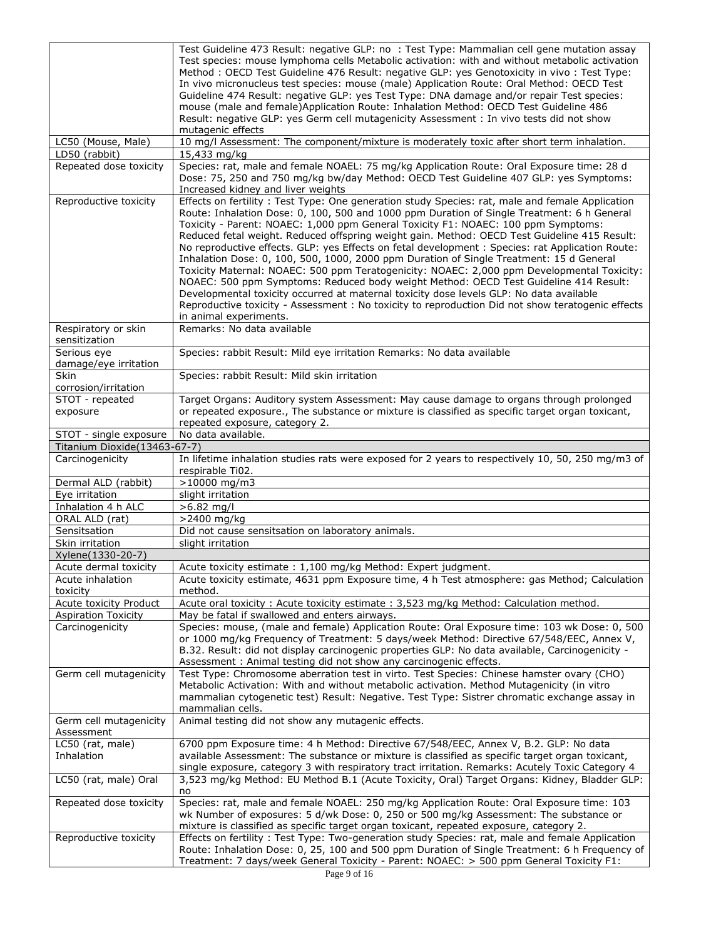|                                      | Test Guideline 473 Result: negative GLP: no : Test Type: Mammalian cell gene mutation assay                                                                                                      |
|--------------------------------------|--------------------------------------------------------------------------------------------------------------------------------------------------------------------------------------------------|
|                                      | Test species: mouse lymphoma cells Metabolic activation: with and without metabolic activation                                                                                                   |
|                                      | Method: OECD Test Guideline 476 Result: negative GLP: yes Genotoxicity in vivo: Test Type:                                                                                                       |
|                                      | In vivo micronucleus test species: mouse (male) Application Route: Oral Method: OECD Test                                                                                                        |
|                                      | Guideline 474 Result: negative GLP: yes Test Type: DNA damage and/or repair Test species:                                                                                                        |
|                                      | mouse (male and female)Application Route: Inhalation Method: OECD Test Guideline 486<br>Result: negative GLP: yes Germ cell mutagenicity Assessment : In vivo tests did not show                 |
|                                      | mutagenic effects                                                                                                                                                                                |
| LC50 (Mouse, Male)                   | 10 mg/l Assessment: The component/mixture is moderately toxic after short term inhalation.                                                                                                       |
| LD50 (rabbit)                        | 15,433 mg/kg                                                                                                                                                                                     |
| Repeated dose toxicity               | Species: rat, male and female NOAEL: 75 mg/kg Application Route: Oral Exposure time: 28 d                                                                                                        |
|                                      | Dose: 75, 250 and 750 mg/kg bw/day Method: OECD Test Guideline 407 GLP: yes Symptoms:<br>Increased kidney and liver weights                                                                      |
| Reproductive toxicity                | Effects on fertility: Test Type: One generation study Species: rat, male and female Application                                                                                                  |
|                                      | Route: Inhalation Dose: 0, 100, 500 and 1000 ppm Duration of Single Treatment: 6 h General                                                                                                       |
|                                      | Toxicity - Parent: NOAEC: 1,000 ppm General Toxicity F1: NOAEC: 100 ppm Symptoms:                                                                                                                |
|                                      | Reduced fetal weight. Reduced offspring weight gain. Method: OECD Test Guideline 415 Result:                                                                                                     |
|                                      | No reproductive effects. GLP: yes Effects on fetal development : Species: rat Application Route:                                                                                                 |
|                                      | Inhalation Dose: 0, 100, 500, 1000, 2000 ppm Duration of Single Treatment: 15 d General                                                                                                          |
|                                      | Toxicity Maternal: NOAEC: 500 ppm Teratogenicity: NOAEC: 2,000 ppm Developmental Toxicity:                                                                                                       |
|                                      | NOAEC: 500 ppm Symptoms: Reduced body weight Method: OECD Test Guideline 414 Result:                                                                                                             |
|                                      | Developmental toxicity occurred at maternal toxicity dose levels GLP: No data available                                                                                                          |
|                                      | Reproductive toxicity - Assessment: No toxicity to reproduction Did not show teratogenic effects                                                                                                 |
| Respiratory or skin                  | in animal experiments.<br>Remarks: No data available                                                                                                                                             |
| sensitization                        |                                                                                                                                                                                                  |
| Serious eye                          | Species: rabbit Result: Mild eye irritation Remarks: No data available                                                                                                                           |
| damage/eye irritation<br>Skin        |                                                                                                                                                                                                  |
| corrosion/irritation                 | Species: rabbit Result: Mild skin irritation                                                                                                                                                     |
| STOT - repeated                      | Target Organs: Auditory system Assessment: May cause damage to organs through prolonged                                                                                                          |
| exposure                             | or repeated exposure., The substance or mixture is classified as specific target organ toxicant,                                                                                                 |
|                                      | repeated exposure, category 2.                                                                                                                                                                   |
| STOT - single exposure               | No data available.                                                                                                                                                                               |
| Titanium Dioxide(13463-67-7)         |                                                                                                                                                                                                  |
|                                      |                                                                                                                                                                                                  |
| Carcinogenicity                      | In lifetime inhalation studies rats were exposed for 2 years to respectively 10, 50, 250 mg/m3 of                                                                                                |
| Dermal ALD (rabbit)                  | respirable Ti02.<br>$>10000$ mg/m3                                                                                                                                                               |
| Eye irritation                       | slight irritation                                                                                                                                                                                |
| Inhalation 4 h ALC                   | >6.82 mg/l                                                                                                                                                                                       |
| ORAL ALD (rat)                       | >2400 mg/kg                                                                                                                                                                                      |
| Sensitsation                         | Did not cause sensitsation on laboratory animals.                                                                                                                                                |
| Skin irritation                      | slight irritation                                                                                                                                                                                |
| Xylene(1330-20-7)                    |                                                                                                                                                                                                  |
| Acute dermal toxicity                | Acute toxicity estimate : 1,100 mg/kg Method: Expert judgment.                                                                                                                                   |
| Acute inhalation<br>toxicity         | Acute toxicity estimate, 4631 ppm Exposure time, 4 h Test atmosphere: gas Method; Calculation<br>method.                                                                                         |
| Acute toxicity Product               | Acute oral toxicity : Acute toxicity estimate : 3,523 mg/kg Method: Calculation method.                                                                                                          |
| <b>Aspiration Toxicity</b>           | May be fatal if swallowed and enters airways.                                                                                                                                                    |
| Carcinogenicity                      | Species: mouse, (male and female) Application Route: Oral Exposure time: 103 wk Dose: 0, 500                                                                                                     |
|                                      | or 1000 mg/kg Frequency of Treatment: 5 days/week Method: Directive 67/548/EEC, Annex V,                                                                                                         |
|                                      | B.32. Result: did not display carcinogenic properties GLP: No data available, Carcinogenicity -                                                                                                  |
|                                      | Assessment: Animal testing did not show any carcinogenic effects.                                                                                                                                |
| Germ cell mutagenicity               | Test Type: Chromosome aberration test in virto. Test Species: Chinese hamster ovary (CHO)                                                                                                        |
|                                      | Metabolic Activation: With and without metabolic activation. Method Mutagenicity (in vitro                                                                                                       |
|                                      | mammalian cytogenetic test) Result: Negative. Test Type: Sistrer chromatic exchange assay in                                                                                                     |
|                                      | mammalian cells.                                                                                                                                                                                 |
| Germ cell mutagenicity<br>Assessment | Animal testing did not show any mutagenic effects.                                                                                                                                               |
| LC50 (rat, male)                     | 6700 ppm Exposure time: 4 h Method: Directive 67/548/EEC, Annex V, B.2. GLP: No data                                                                                                             |
| Inhalation                           | available Assessment: The substance or mixture is classified as specific target organ toxicant,                                                                                                  |
|                                      | single exposure, category 3 with respiratory tract irritation. Remarks: Acutely Toxic Category 4                                                                                                 |
| LC50 (rat, male) Oral                | 3,523 mg/kg Method: EU Method B.1 (Acute Toxicity, Oral) Target Organs: Kidney, Bladder GLP:                                                                                                     |
|                                      | no                                                                                                                                                                                               |
| Repeated dose toxicity               | Species: rat, male and female NOAEL: 250 mg/kg Application Route: Oral Exposure time: 103                                                                                                        |
|                                      | wk Number of exposures: 5 d/wk Dose: 0, 250 or 500 mg/kg Assessment: The substance or                                                                                                            |
|                                      | mixture is classified as specific target organ toxicant, repeated exposure, category 2.                                                                                                          |
| Reproductive toxicity                | Effects on fertility: Test Type: Two-generation study Species: rat, male and female Application<br>Route: Inhalation Dose: 0, 25, 100 and 500 ppm Duration of Single Treatment: 6 h Frequency of |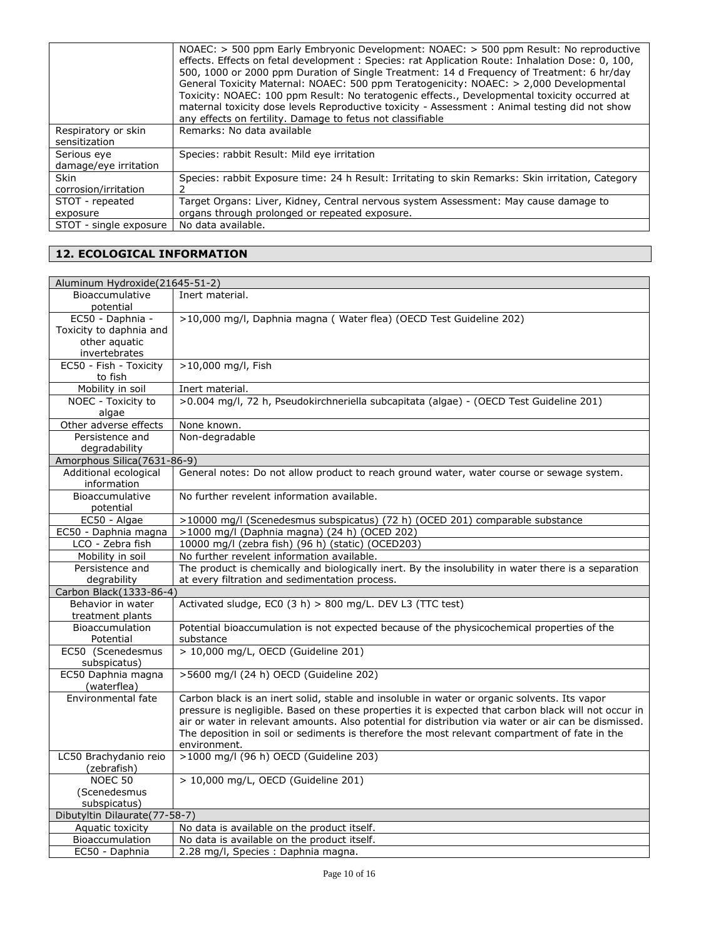|                        | NOAEC: > 500 ppm Early Embryonic Development: NOAEC: > 500 ppm Result: No reproductive<br>effects. Effects on fetal development : Species: rat Application Route: Inhalation Dose: 0, 100,<br>500, 1000 or 2000 ppm Duration of Single Treatment: 14 d Frequency of Treatment: 6 hr/day<br>General Toxicity Maternal: NOAEC: 500 ppm Teratogenicity: NOAEC: > 2,000 Developmental<br>Toxicity: NOAEC: 100 ppm Result: No teratogenic effects., Developmental toxicity occurred at<br>maternal toxicity dose levels Reproductive toxicity - Assessment : Animal testing did not show |
|------------------------|-------------------------------------------------------------------------------------------------------------------------------------------------------------------------------------------------------------------------------------------------------------------------------------------------------------------------------------------------------------------------------------------------------------------------------------------------------------------------------------------------------------------------------------------------------------------------------------|
|                        | any effects on fertility. Damage to fetus not classifiable                                                                                                                                                                                                                                                                                                                                                                                                                                                                                                                          |
| Respiratory or skin    | Remarks: No data available                                                                                                                                                                                                                                                                                                                                                                                                                                                                                                                                                          |
| sensitization          |                                                                                                                                                                                                                                                                                                                                                                                                                                                                                                                                                                                     |
| Serious eye            | Species: rabbit Result: Mild eye irritation                                                                                                                                                                                                                                                                                                                                                                                                                                                                                                                                         |
| damage/eye irritation  |                                                                                                                                                                                                                                                                                                                                                                                                                                                                                                                                                                                     |
| <b>Skin</b>            | Species: rabbit Exposure time: 24 h Result: Irritating to skin Remarks: Skin irritation, Category                                                                                                                                                                                                                                                                                                                                                                                                                                                                                   |
| corrosion/irritation   |                                                                                                                                                                                                                                                                                                                                                                                                                                                                                                                                                                                     |
| STOT - repeated        | Target Organs: Liver, Kidney, Central nervous system Assessment: May cause damage to                                                                                                                                                                                                                                                                                                                                                                                                                                                                                                |
| exposure               | organs through prolonged or repeated exposure.                                                                                                                                                                                                                                                                                                                                                                                                                                                                                                                                      |
| STOT - single exposure | No data available.                                                                                                                                                                                                                                                                                                                                                                                                                                                                                                                                                                  |

### **12. ECOLOGICAL INFORMATION**

| Aluminum Hydroxide(21645-51-2)      |                                                                                                      |  |
|-------------------------------------|------------------------------------------------------------------------------------------------------|--|
| Bioaccumulative                     | Inert material.                                                                                      |  |
| potential                           |                                                                                                      |  |
| EC50 - Daphnia -                    | >10,000 mg/l, Daphnia magna (Water flea) (OECD Test Guideline 202)                                   |  |
| Toxicity to daphnia and             |                                                                                                      |  |
| other aquatic                       |                                                                                                      |  |
| invertebrates                       |                                                                                                      |  |
| EC50 - Fish - Toxicity              | >10,000 mg/l, Fish                                                                                   |  |
| to fish                             |                                                                                                      |  |
| Mobility in soil                    | Inert material.                                                                                      |  |
| NOEC - Toxicity to                  | >0.004 mg/l, 72 h, Pseudokirchneriella subcapitata (algae) - (OECD Test Guideline 201)               |  |
| algae                               |                                                                                                      |  |
| Other adverse effects               | None known.                                                                                          |  |
| Persistence and                     | Non-degradable                                                                                       |  |
| degradability                       |                                                                                                      |  |
| Amorphous Silica(7631-86-9)         |                                                                                                      |  |
| Additional ecological               | General notes: Do not allow product to reach ground water, water course or sewage system.            |  |
| information                         |                                                                                                      |  |
| Bioaccumulative                     | No further revelent information available.                                                           |  |
| potential                           |                                                                                                      |  |
| EC50 - Algae                        | >10000 mg/l (Scenedesmus subspicatus) (72 h) (OCED 201) comparable substance                         |  |
| EC50 - Daphnia magna                | >1000 mg/l (Daphnia magna) (24 h) (OCED 202)                                                         |  |
| LCO - Zebra fish                    | 10000 mg/l (zebra fish) (96 h) (static) (OCED203)                                                    |  |
| Mobility in soil                    | No further revelent information available.                                                           |  |
| Persistence and                     | The product is chemically and biologically inert. By the insolubility in water there is a separation |  |
| degrability                         | at every filtration and sedimentation process.                                                       |  |
| Carbon Black (1333-86-4)            |                                                                                                      |  |
| Behavior in water                   | Activated sludge, EC0 (3 h) > 800 mg/L. DEV L3 (TTC test)                                            |  |
| treatment plants<br>Bioaccumulation | Potential bioaccumulation is not expected because of the physicochemical properties of the           |  |
| Potential                           | substance                                                                                            |  |
| EC50 (Scenedesmus                   | > 10,000 mg/L, OECD (Guideline 201)                                                                  |  |
| subspicatus)                        |                                                                                                      |  |
| EC50 Daphnia magna                  | >5600 mg/l (24 h) OECD (Guideline 202)                                                               |  |
| (waterflea)                         |                                                                                                      |  |
| Environmental fate                  | Carbon black is an inert solid, stable and insoluble in water or organic solvents. Its vapor         |  |
|                                     | pressure is negligible. Based on these properties it is expected that carbon black will not occur in |  |
|                                     | air or water in relevant amounts. Also potential for distribution via water or air can be dismissed. |  |
|                                     | The deposition in soil or sediments is therefore the most relevant compartment of fate in the        |  |
|                                     | environment.                                                                                         |  |
| LC50 Brachydanio reio               | >1000 mg/l (96 h) OECD (Guideline 203)                                                               |  |
| (zebrafish)                         |                                                                                                      |  |
| NOEC <sub>50</sub>                  | > 10,000 mg/L, OECD (Guideline 201)                                                                  |  |
| (Scenedesmus                        |                                                                                                      |  |
| subspicatus)                        |                                                                                                      |  |
| Dibutyltin Dilaurate(77-58-7)       |                                                                                                      |  |
| Aquatic toxicity                    | No data is available on the product itself.                                                          |  |
| Bioaccumulation                     | No data is available on the product itself.                                                          |  |
| EC50 - Daphnia                      | 2.28 mg/l, Species : Daphnia magna.                                                                  |  |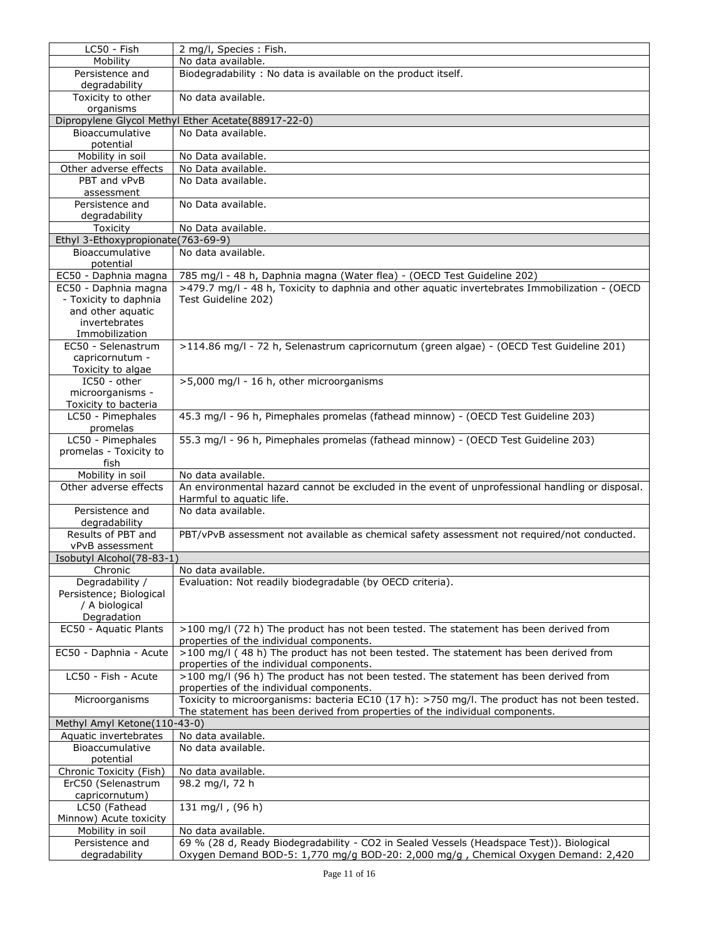| LC50 - Fish                                    | 2 mg/l, Species: Fish.                                                                          |  |
|------------------------------------------------|-------------------------------------------------------------------------------------------------|--|
| Mobility                                       | No data available.                                                                              |  |
| Persistence and                                | Biodegradability: No data is available on the product itself.                                   |  |
| degradability                                  |                                                                                                 |  |
| Toxicity to other<br>organisms                 | No data available.                                                                              |  |
|                                                | Dipropylene Glycol Methyl Ether Acetate(88917-22-0)                                             |  |
| Bioaccumulative                                | No Data available.                                                                              |  |
| potential                                      |                                                                                                 |  |
| Mobility in soil                               | No Data available.                                                                              |  |
| Other adverse effects                          | No Data available.                                                                              |  |
| PBT and vPvB                                   | No Data available.                                                                              |  |
| assessment                                     |                                                                                                 |  |
| Persistence and                                | No Data available.                                                                              |  |
| degradability                                  |                                                                                                 |  |
| Toxicity<br>Ethyl 3-Ethoxypropionate(763-69-9) | No Data available.                                                                              |  |
| Bioaccumulative                                | No data available.                                                                              |  |
| potential                                      |                                                                                                 |  |
| EC50 - Daphnia magna                           | 785 mg/l - 48 h, Daphnia magna (Water flea) - (OECD Test Guideline 202)                         |  |
| EC50 - Daphnia magna                           | >479.7 mg/l - 48 h, Toxicity to daphnia and other aquatic invertebrates Immobilization - (OECD  |  |
| - Toxicity to daphnia                          | Test Guideline 202)                                                                             |  |
| and other aquatic                              |                                                                                                 |  |
| invertebrates                                  |                                                                                                 |  |
| Immobilization                                 |                                                                                                 |  |
| EC50 - Selenastrum                             | >114.86 mg/l - 72 h, Selenastrum capricornutum (green algae) - (OECD Test Guideline 201)        |  |
| capricornutum -                                |                                                                                                 |  |
| Toxicity to algae<br>IC50 - other              | >5,000 mg/l - 16 h, other microorganisms                                                        |  |
| microorganisms -                               |                                                                                                 |  |
| Toxicity to bacteria                           |                                                                                                 |  |
| LC50 - Pimephales                              | 45.3 mg/l - 96 h, Pimephales promelas (fathead minnow) - (OECD Test Guideline 203)              |  |
| promelas                                       |                                                                                                 |  |
| LC50 - Pimephales                              | 55.3 mg/l - 96 h, Pimephales promelas (fathead minnow) - (OECD Test Guideline 203)              |  |
| promelas - Toxicity to                         |                                                                                                 |  |
| fish                                           |                                                                                                 |  |
| Mobility in soil                               | No data available.                                                                              |  |
| Other adverse effects                          | An environmental hazard cannot be excluded in the event of unprofessional handling or disposal. |  |
| Persistence and                                | Harmful to aquatic life.<br>No data available.                                                  |  |
| degradability                                  |                                                                                                 |  |
| Results of PBT and                             | PBT/vPvB assessment not available as chemical safety assessment not required/not conducted.     |  |
| vPvB assessment                                |                                                                                                 |  |
| Isobutyl Alcohol(78-83-1)                      |                                                                                                 |  |
| Chronic                                        | No data available.                                                                              |  |
| Degradability /                                | Evaluation: Not readily biodegradable (by OECD criteria).                                       |  |
| Persistence; Biological                        |                                                                                                 |  |
| / A biological                                 |                                                                                                 |  |
| Degradation<br>EC50 - Aquatic Plants           | >100 mg/l (72 h) The product has not been tested. The statement has been derived from           |  |
|                                                | properties of the individual components.                                                        |  |
| EC50 - Daphnia - Acute                         | >100 mg/l (48 h) The product has not been tested. The statement has been derived from           |  |
|                                                | properties of the individual components.                                                        |  |
| LC50 - Fish - Acute                            | >100 mg/l (96 h) The product has not been tested. The statement has been derived from           |  |
|                                                | properties of the individual components.                                                        |  |
| Microorganisms                                 | Toxicity to microorganisms: bacteria EC10 (17 h): >750 mg/l. The product has not been tested.   |  |
|                                                | The statement has been derived from properties of the individual components.                    |  |
| Methyl Amyl Ketone(110-43-0)                   |                                                                                                 |  |
| Aquatic invertebrates                          | No data available.                                                                              |  |
| Bioaccumulative                                | No data available.                                                                              |  |
| potential<br>Chronic Toxicity (Fish)           | No data available.                                                                              |  |
| ErC50 (Selenastrum                             | 98.2 mg/l, 72 h                                                                                 |  |
| capricornutum)                                 |                                                                                                 |  |
| LC50 (Fathead                                  | 131 mg/l, (96 h)                                                                                |  |
| Minnow) Acute toxicity                         |                                                                                                 |  |
| Mobility in soil                               | No data available.                                                                              |  |
| Persistence and                                | 69 % (28 d, Ready Biodegradability - CO2 in Sealed Vessels (Headspace Test)). Biological        |  |
| degradability                                  | Oxygen Demand BOD-5: 1,770 mg/g BOD-20: 2,000 mg/g , Chemical Oxygen Demand: 2,420              |  |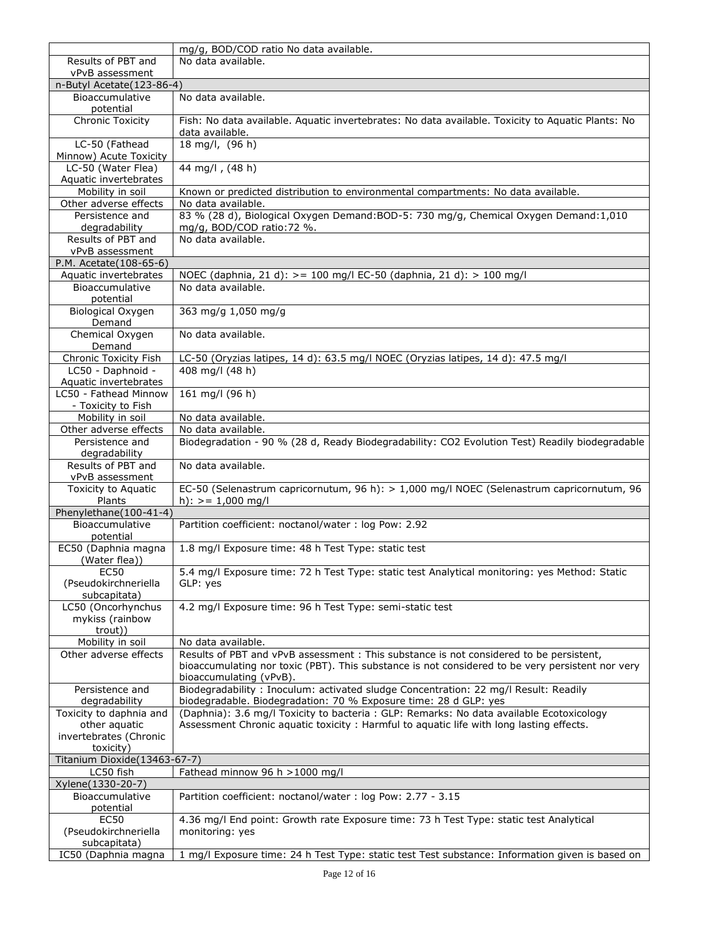|                                                     | mg/g, BOD/COD ratio No data available.                                                                                                                                                      |
|-----------------------------------------------------|---------------------------------------------------------------------------------------------------------------------------------------------------------------------------------------------|
| Results of PBT and                                  | No data available.                                                                                                                                                                          |
| vPvB assessment                                     |                                                                                                                                                                                             |
| n-Butyl Acetate(123-86-4)                           |                                                                                                                                                                                             |
| Bioaccumulative<br>potential                        | No data available.                                                                                                                                                                          |
| <b>Chronic Toxicity</b>                             | Fish: No data available. Aquatic invertebrates: No data available. Toxicity to Aquatic Plants: No<br>data available.                                                                        |
| LC-50 (Fathead<br>Minnow) Acute Toxicity            | 18 mg/l, (96 h)                                                                                                                                                                             |
| LC-50 (Water Flea)<br>Aquatic invertebrates         | 44 mg/l, (48 h)                                                                                                                                                                             |
| Mobility in soil                                    | Known or predicted distribution to environmental compartments: No data available.                                                                                                           |
| Other adverse effects                               | No data available.                                                                                                                                                                          |
| Persistence and                                     | 83 % (28 d), Biological Oxygen Demand: BOD-5: 730 mg/g, Chemical Oxygen Demand: 1,010                                                                                                       |
| degradability                                       | mg/g, BOD/COD ratio: 72 %.                                                                                                                                                                  |
| Results of PBT and                                  | No data available.                                                                                                                                                                          |
| vPvB assessment                                     |                                                                                                                                                                                             |
| P.M. Acetate(108-65-6)                              |                                                                                                                                                                                             |
| Aquatic invertebrates                               | NOEC (daphnia, 21 d): > = 100 mg/l EC-50 (daphnia, 21 d): > 100 mg/l                                                                                                                        |
| Bioaccumulative<br>potential                        | No data available.                                                                                                                                                                          |
| Biological Oxygen                                   | 363 mg/g 1,050 mg/g                                                                                                                                                                         |
| Demand                                              |                                                                                                                                                                                             |
| Chemical Oxygen<br>Demand                           | No data available.                                                                                                                                                                          |
| Chronic Toxicity Fish                               | LC-50 (Oryzias latipes, 14 d): 63.5 mg/l NOEC (Oryzias latipes, 14 d): 47.5 mg/l                                                                                                            |
| LC50 - Daphnoid -                                   | 408 mg/l (48 h)                                                                                                                                                                             |
| Aquatic invertebrates                               |                                                                                                                                                                                             |
| LC50 - Fathead Minnow<br>- Toxicity to Fish         | 161 mg/l (96 h)                                                                                                                                                                             |
| Mobility in soil                                    | No data available.                                                                                                                                                                          |
| Other adverse effects                               | No data available.                                                                                                                                                                          |
| Persistence and                                     | Biodegradation - 90 % (28 d, Ready Biodegradability: CO2 Evolution Test) Readily biodegradable                                                                                              |
| degradability                                       |                                                                                                                                                                                             |
| Results of PBT and<br>vPvB assessment               | No data available.                                                                                                                                                                          |
| Toxicity to Aquatic                                 | EC-50 (Selenastrum capricornutum, 96 h): > 1,000 mg/l NOEC (Selenastrum capricornutum, 96                                                                                                   |
| Plants                                              | h): $> = 1,000$ mg/l                                                                                                                                                                        |
| Phenylethane(100-41-4)                              |                                                                                                                                                                                             |
| Bioaccumulative<br>potential                        | Partition coefficient: noctanol/water : log Pow: 2.92                                                                                                                                       |
| EC50 (Daphnia magna<br>(Water flea))                | 1.8 mg/l Exposure time: 48 h Test Type: static test                                                                                                                                         |
| <b>EC50</b><br>(Pseudokirchneriella<br>subcapitata) | 5.4 mg/l Exposure time: 72 h Test Type: static test Analytical monitoring: yes Method: Static<br>GLP: yes                                                                                   |
| LC50 (Oncorhynchus                                  | 4.2 mg/l Exposure time: 96 h Test Type: semi-static test                                                                                                                                    |
| mykiss (rainbow<br>trout))                          |                                                                                                                                                                                             |
| Mobility in soil                                    | No data available.                                                                                                                                                                          |
| Other adverse effects                               | Results of PBT and vPvB assessment : This substance is not considered to be persistent,<br>bioaccumulating nor toxic (PBT). This substance is not considered to be very persistent nor very |
|                                                     | bioaccumulating (vPvB).                                                                                                                                                                     |
| Persistence and                                     | Biodegradability: Inoculum: activated sludge Concentration: 22 mg/l Result: Readily                                                                                                         |
| degradability                                       | biodegradable. Biodegradation: 70 % Exposure time: 28 d GLP: yes                                                                                                                            |
| Toxicity to daphnia and<br>other aquatic            | (Daphnia): 3.6 mg/l Toxicity to bacteria : GLP: Remarks: No data available Ecotoxicology<br>Assessment Chronic aquatic toxicity : Harmful to aquatic life with long lasting effects.        |
| invertebrates (Chronic                              |                                                                                                                                                                                             |
| toxicity)                                           |                                                                                                                                                                                             |
| Titanium Dioxide(13463-67-7)                        |                                                                                                                                                                                             |
| LC50 fish                                           | Fathead minnow 96 h >1000 mg/l                                                                                                                                                              |
| Xylene(1330-20-7)                                   |                                                                                                                                                                                             |
| Bioaccumulative<br>potential                        | Partition coefficient: noctanol/water: log Pow: 2.77 - 3.15                                                                                                                                 |
| <b>EC50</b>                                         | 4.36 mg/l End point: Growth rate Exposure time: 73 h Test Type: static test Analytical                                                                                                      |
| (Pseudokirchneriella                                | monitoring: yes                                                                                                                                                                             |
| subcapitata)                                        |                                                                                                                                                                                             |
| IC50 (Daphnia magna                                 | 1 mg/l Exposure time: 24 h Test Type: static test Test substance: Information given is based on                                                                                             |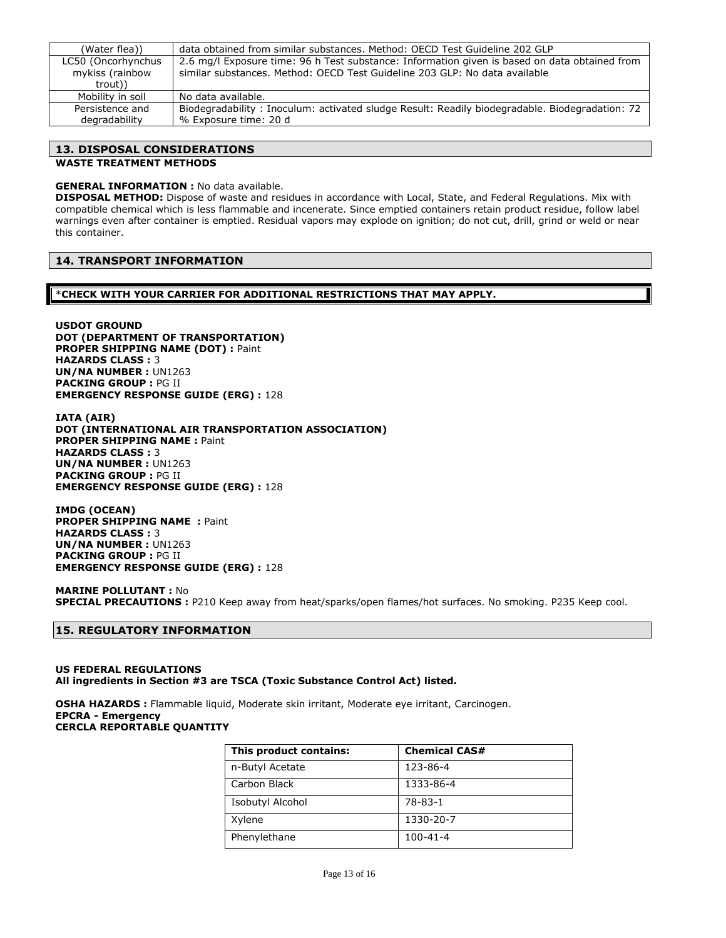| (Water flea))      | data obtained from similar substances, Method: OECD Test Guideline 202 GLP                     |
|--------------------|------------------------------------------------------------------------------------------------|
| LC50 (Oncorhynchus | 2.6 mg/l Exposure time: 96 h Test substance: Information given is based on data obtained from  |
| mykiss (rainbow    | similar substances, Method: OECD Test Guideline 203 GLP: No data available                     |
| trout))            |                                                                                                |
| Mobility in soil   | No data available.                                                                             |
| Persistence and    | Biodegradability: Inoculum: activated sludge Result: Readily biodegradable. Biodegradation: 72 |
| degradability      | % Exposure time: 20 d                                                                          |

### **13. DISPOSAL CONSIDERATIONS**

### **WASTE TREATMENT METHODS**

### **GENERAL INFORMATION :** No data available.

**DISPOSAL METHOD:** Dispose of waste and residues in accordance with Local, State, and Federal Regulations. Mix with compatible chemical which is less flammable and incenerate. Since emptied containers retain product residue, follow label warnings even after container is emptied. Residual vapors may explode on ignition; do not cut, drill, grind or weld or near this container.

### **14. TRANSPORT INFORMATION**

\***CHECK WITH YOUR CARRIER FOR ADDITIONAL RESTRICTIONS THAT MAY APPLY.**

**USDOT GROUND DOT (DEPARTMENT OF TRANSPORTATION) PROPER SHIPPING NAME (DOT) :** Paint **HAZARDS CLASS :** 3 **UN/NA NUMBER :** UN1263 **PACKING GROUP :** PG II **EMERGENCY RESPONSE GUIDE (ERG) :** 128

**IATA (AIR) DOT (INTERNATIONAL AIR TRANSPORTATION ASSOCIATION) PROPER SHIPPING NAME :** Paint **HAZARDS CLASS :** 3 **UN/NA NUMBER :** UN1263 **PACKING GROUP :** PG II **EMERGENCY RESPONSE GUIDE (ERG) :** 128

**IMDG (OCEAN) PROPER SHIPPING NAME : Paint HAZARDS CLASS :** 3 **UN/NA NUMBER :** UN1263 **PACKING GROUP :** PG II **EMERGENCY RESPONSE GUIDE (ERG) :** 128

**MARINE POLLUTANT :** No **SPECIAL PRECAUTIONS :** P210 Keep away from heat/sparks/open flames/hot surfaces. No smoking. P235 Keep cool.

### **15. REGULATORY INFORMATION**

#### **US FEDERAL REGULATIONS All ingredients in Section #3 are TSCA (Toxic Substance Control Act) listed.**

**OSHA HAZARDS :** Flammable liquid, Moderate skin irritant, Moderate eye irritant, Carcinogen. **EPCRA - Emergency CERCLA REPORTABLE QUANTITY**

| This product contains: | <b>Chemical CAS#</b> |
|------------------------|----------------------|
| n-Butyl Acetate        | 123-86-4             |
| Carbon Black           | 1333-86-4            |
| Isobutyl Alcohol       | 78-83-1              |
| Xylene                 | 1330-20-7            |
| Phenylethane           | $100 - 41 - 4$       |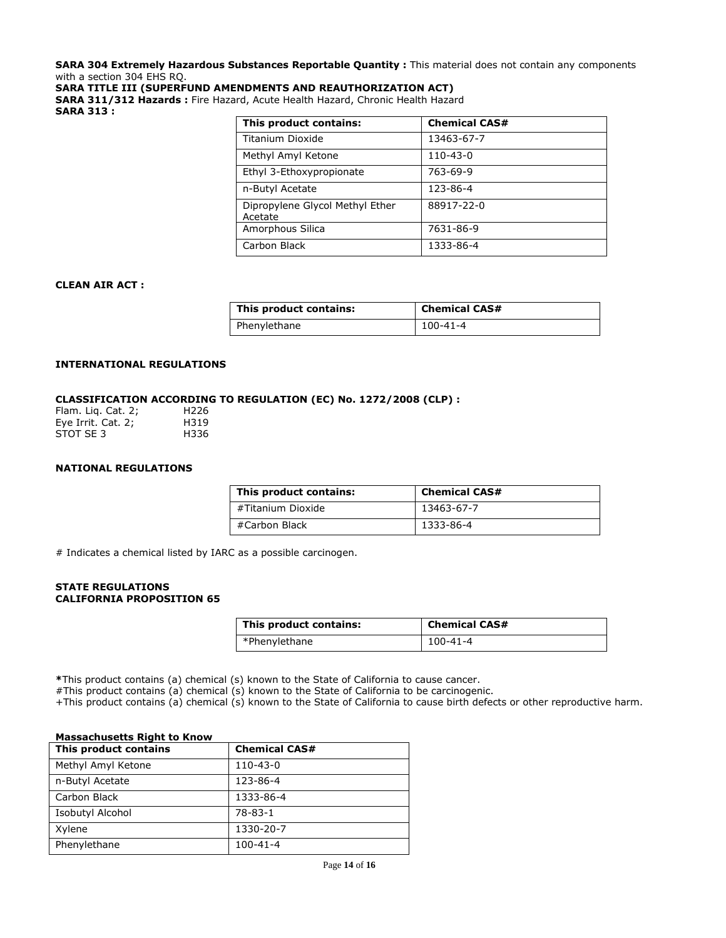**SARA 304 Extremely Hazardous Substances Reportable Quantity :** This material does not contain any components with a section 304 EHS RQ.

**SARA TITLE III (SUPERFUND AMENDMENTS AND REAUTHORIZATION ACT)**

**SARA 311/312 Hazards :** Fire Hazard, Acute Health Hazard, Chronic Health Hazard **SARA 313 :**

| This product contains:                     | <b>Chemical CAS#</b> |
|--------------------------------------------|----------------------|
| Titanium Dioxide                           | 13463-67-7           |
| Methyl Amyl Ketone                         | 110-43-0             |
| Ethyl 3-Ethoxypropionate                   | 763-69-9             |
| n-Butyl Acetate                            | 123-86-4             |
| Dipropylene Glycol Methyl Ether<br>Acetate | 88917-22-0           |
| Amorphous Silica                           | 7631-86-9            |
| Carbon Black                               | 1333-86-4            |

#### **CLEAN AIR ACT :**

| This product contains: | <b>Chemical CAS#</b> |
|------------------------|----------------------|
| Phenylethane           | $100 - 41 - 4$       |

### **INTERNATIONAL REGULATIONS**

### **CLASSIFICATION ACCORDING TO REGULATION (EC) No. 1272/2008 (CLP) :**

| Flam. Lig. Cat. 2; | H <sub>226</sub> |
|--------------------|------------------|
| Eye Irrit. Cat. 2; | H319             |
| STOT SE 3          | H336             |

### **NATIONAL REGULATIONS**

| This product contains: | <b>Chemical CAS#</b> |
|------------------------|----------------------|
| #Titanium Dioxide      | 13463-67-7           |
| #Carbon Black          | 1333-86-4            |

# Indicates a chemical listed by IARC as a possible carcinogen.

#### **STATE REGULATIONS CALIFORNIA PROPOSITION 65**

| This product contains: | <b>Chemical CAS#</b> |
|------------------------|----------------------|
| *Phenylethane          | 100-41-4             |

**\***This product contains (a) chemical (s) known to the State of California to cause cancer.

#This product contains (a) chemical (s) known to the State of California to be carcinogenic.

+This product contains (a) chemical (s) known to the State of California to cause birth defects or other reproductive harm.

#### **Massachusetts Right to Know**

| This product contains | <b>Chemical CAS#</b> |
|-----------------------|----------------------|
| Methyl Amyl Ketone    | $110 - 43 - 0$       |
| n-Butyl Acetate       | 123-86-4             |
| Carbon Black          | 1333-86-4            |
| Isobutyl Alcohol      | $78 - 83 - 1$        |
| Xylene                | 1330-20-7            |
| Phenylethane          | $100 - 41 - 4$       |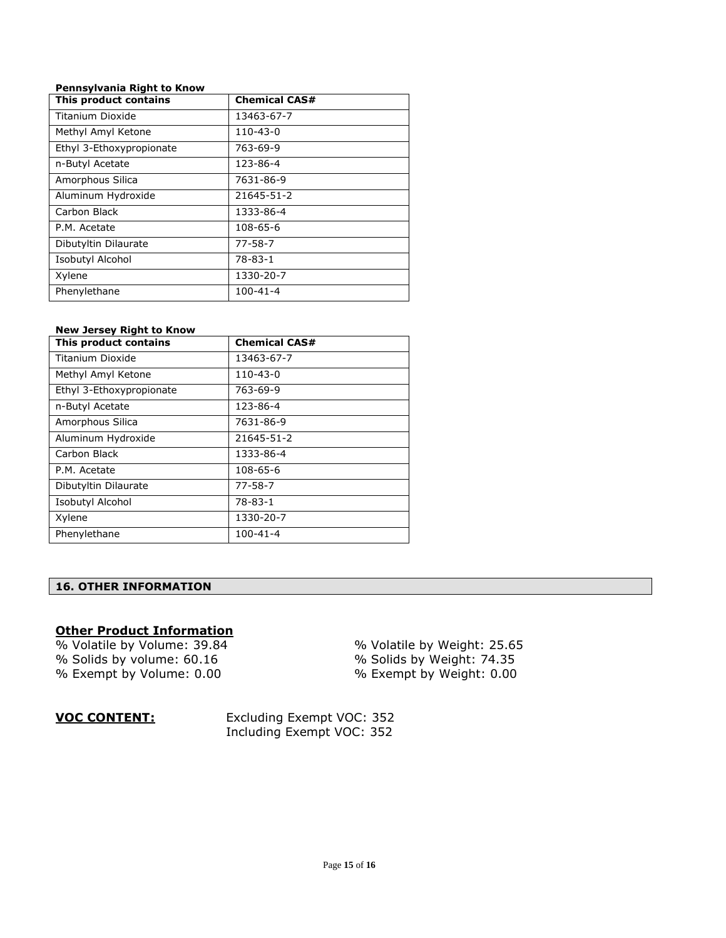### **Pennsylvania Right to Know**

| This product contains    | <b>Chemical CAS#</b> |
|--------------------------|----------------------|
| Titanium Dioxide         | 13463-67-7           |
| Methyl Amyl Ketone       | $110 - 43 - 0$       |
| Ethyl 3-Ethoxypropionate | 763-69-9             |
| n-Butyl Acetate          | 123-86-4             |
| Amorphous Silica         | 7631-86-9            |
| Aluminum Hydroxide       | 21645-51-2           |
| Carbon Black             | 1333-86-4            |
| P.M. Acetate             | 108-65-6             |
| Dibutyltin Dilaurate     | $77 - 58 - 7$        |
| Isobutyl Alcohol         | $78 - 83 - 1$        |
| Xylene                   | 1330-20-7            |
| Phenylethane             | $100 - 41 - 4$       |

### **New Jersey Right to Know**

| This product contains    | <b>Chemical CAS#</b> |
|--------------------------|----------------------|
| Titanium Dioxide         | 13463-67-7           |
| Methyl Amyl Ketone       | 110-43-0             |
| Ethyl 3-Ethoxypropionate | 763-69-9             |
| n-Butyl Acetate          | 123-86-4             |
| Amorphous Silica         | 7631-86-9            |
| Aluminum Hydroxide       | 21645-51-2           |
| Carbon Black             | 1333-86-4            |
| P.M. Acetate             | 108-65-6             |
| Dibutyltin Dilaurate     | 77-58-7              |
| Isobutyl Alcohol         | 78-83-1              |
| Xylene                   | 1330-20-7            |
| Phenylethane             | $100 - 41 - 4$       |

### **16. OTHER INFORMATION**

### **Other Product Information**

% Solids by volume: 60.16 % Solids by Weight: 74.35 % Exempt by Volume: 0.00 % Exempt by Weight: 0.00

 $\frac{1}{\%}$  Volatile by Volume: 39.84  $\frac{1}{\%}$  % Volatile by Weight: 25.65

**VOC CONTENT:** Excluding Exempt VOC: 352 Including Exempt VOC: 352